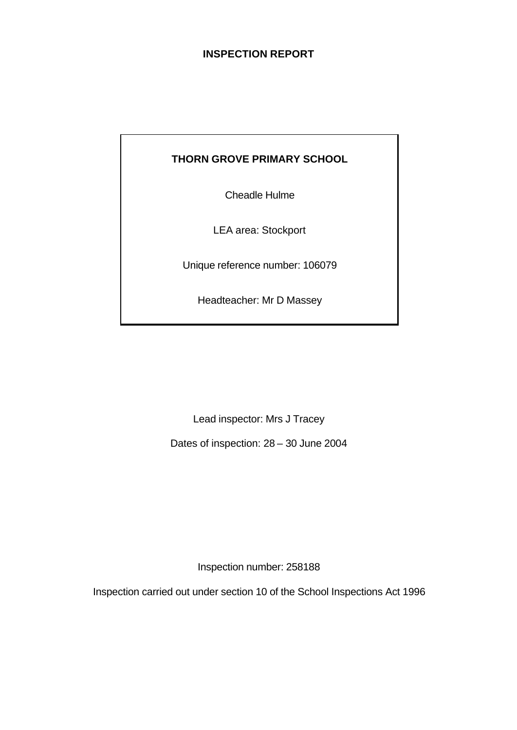### **INSPECTION REPORT**

# **THORN GROVE PRIMARY SCHOOL**

Cheadle Hulme

LEA area: Stockport

Unique reference number: 106079

Headteacher: Mr D Massey

Lead inspector: Mrs J Tracey

Dates of inspection: 28 – 30 June 2004

Inspection number: 258188

Inspection carried out under section 10 of the School Inspections Act 1996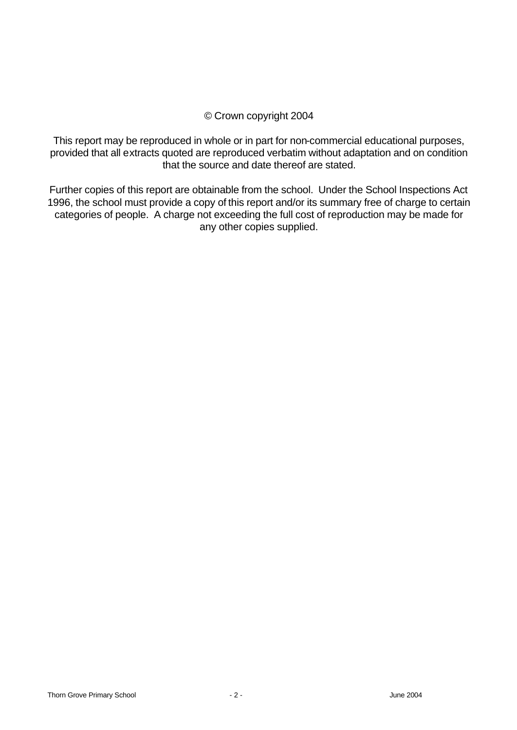### © Crown copyright 2004

This report may be reproduced in whole or in part for non-commercial educational purposes, provided that all extracts quoted are reproduced verbatim without adaptation and on condition that the source and date thereof are stated.

Further copies of this report are obtainable from the school. Under the School Inspections Act 1996, the school must provide a copy of this report and/or its summary free of charge to certain categories of people. A charge not exceeding the full cost of reproduction may be made for any other copies supplied.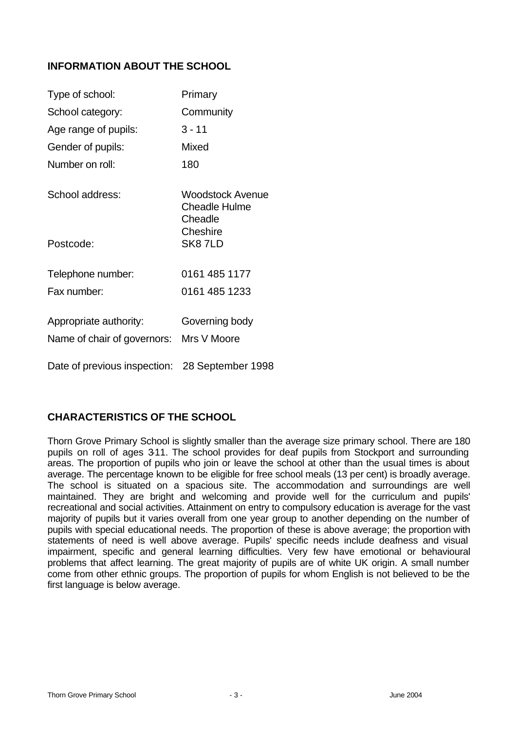### **INFORMATION ABOUT THE SCHOOL**

| Type of school:                                | Primary                                             |
|------------------------------------------------|-----------------------------------------------------|
| School category:                               | Community                                           |
| Age range of pupils:                           | $3 - 11$                                            |
| Gender of pupils:                              | Mixed                                               |
| Number on roll:                                | 180                                                 |
| School address:                                | Woodstock Avenue<br><b>Cheadle Hulme</b><br>Cheadle |
| Postcode:                                      | Cheshire<br>SK87LD                                  |
| Telephone number:                              | 0161 485 1177                                       |
| Fax number:                                    | 0161 485 1233                                       |
| Appropriate authority:                         | Governing body                                      |
| Name of chair of governors:                    | Mrs V Moore                                         |
| Date of previous inspection: 28 September 1998 |                                                     |

# **CHARACTERISTICS OF THE SCHOOL**

Thorn Grove Primary School is slightly smaller than the average size primary school. There are 180 pupils on roll of ages 3-11. The school provides for deaf pupils from Stockport and surrounding areas. The proportion of pupils who join or leave the school at other than the usual times is about average. The percentage known to be eligible for free school meals (13 per cent) is broadly average. The school is situated on a spacious site. The accommodation and surroundings are well maintained. They are bright and welcoming and provide well for the curriculum and pupils' recreational and social activities. Attainment on entry to compulsory education is average for the vast majority of pupils but it varies overall from one year group to another depending on the number of pupils with special educational needs. The proportion of these is above average; the proportion with statements of need is well above average. Pupils' specific needs include deafness and visual impairment, specific and general learning difficulties. Very few have emotional or behavioural problems that affect learning. The great majority of pupils are of white UK origin. A small number come from other ethnic groups. The proportion of pupils for whom English is not believed to be the first language is below average.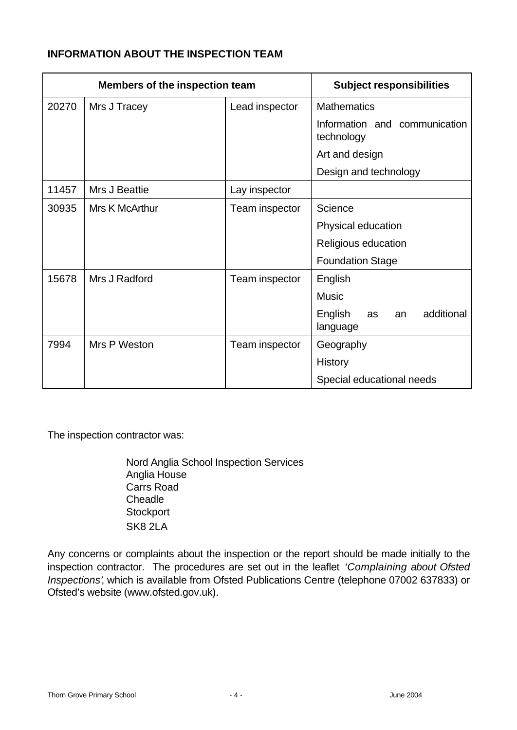### **INFORMATION ABOUT THE INSPECTION TEAM**

| <b>Members of the inspection team</b> |                |                | <b>Subject responsibilities</b>               |
|---------------------------------------|----------------|----------------|-----------------------------------------------|
| 20270                                 | Mrs J Tracey   | Lead inspector | <b>Mathematics</b>                            |
|                                       |                |                | Information and communication<br>technology   |
|                                       |                |                | Art and design                                |
|                                       |                |                | Design and technology                         |
| 11457                                 | Mrs J Beattie  | Lay inspector  |                                               |
| 30935                                 | Mrs K McArthur | Team inspector | Science                                       |
|                                       |                |                | Physical education                            |
|                                       |                |                | Religious education                           |
|                                       |                |                | <b>Foundation Stage</b>                       |
| 15678                                 | Mrs J Radford  | Team inspector | English                                       |
|                                       |                |                | <b>Music</b>                                  |
|                                       |                |                | additional<br>English<br>as<br>an<br>language |
| 7994                                  | Mrs P Weston   | Team inspector | Geography                                     |
|                                       |                |                | <b>History</b>                                |
|                                       |                |                | Special educational needs                     |

The inspection contractor was:

Nord Anglia School Inspection Services Anglia House Carrs Road Cheadle **Stockport** SK8 2LA

Any concerns or complaints about the inspection or the report should be made initially to the inspection contractor. The procedures are set out in the leaflet *'Complaining about Ofsted Inspections'*, which is available from Ofsted Publications Centre (telephone 07002 637833) or Ofsted's website (www.ofsted.gov.uk).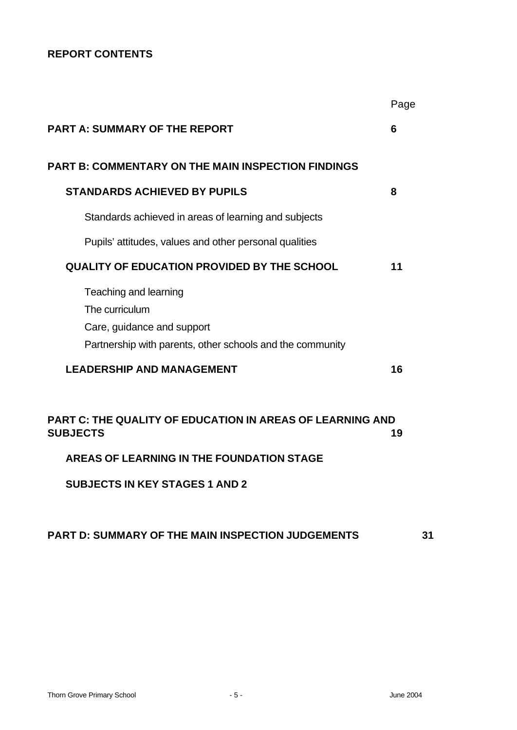# **REPORT CONTENTS**

|                                                                                     | Page |
|-------------------------------------------------------------------------------------|------|
| <b>PART A: SUMMARY OF THE REPORT</b>                                                | 6    |
| <b>PART B: COMMENTARY ON THE MAIN INSPECTION FINDINGS</b>                           |      |
| <b>STANDARDS ACHIEVED BY PUPILS</b>                                                 | 8    |
| Standards achieved in areas of learning and subjects                                |      |
| Pupils' attitudes, values and other personal qualities                              |      |
| <b>QUALITY OF EDUCATION PROVIDED BY THE SCHOOL</b>                                  | 11   |
| Teaching and learning                                                               |      |
| The curriculum                                                                      |      |
| Care, guidance and support                                                          |      |
| Partnership with parents, other schools and the community                           |      |
| <b>LEADERSHIP AND MANAGEMENT</b>                                                    | 16   |
| <b>PART C: THE QUALITY OF EDUCATION IN AREAS OF LEARNING AND</b><br><b>SUBJECTS</b> | 19   |
| AREAS OF LEARNING IN THE FOUNDATION STAGE                                           |      |
| <b>SUBJECTS IN KEY STAGES 1 AND 2</b>                                               |      |

# **PART D: SUMMARY OF THE MAIN INSPECTION JUDGEMENTS 31**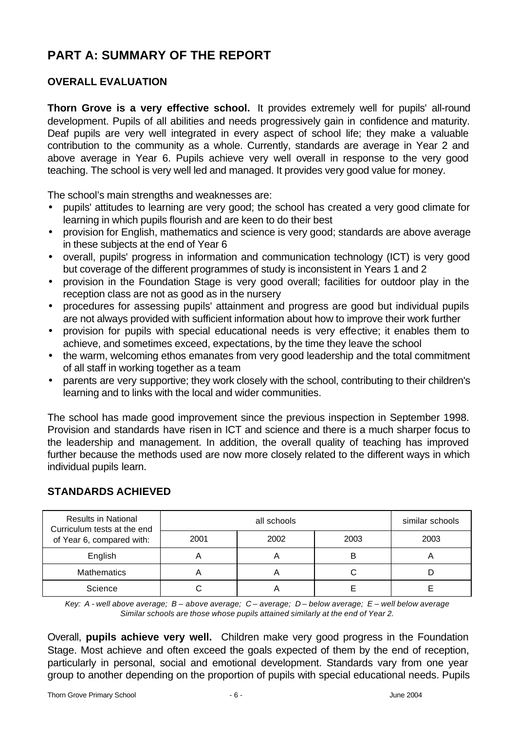# **PART A: SUMMARY OF THE REPORT**

# **OVERALL EVALUATION**

**Thorn Grove is a very effective school.** It provides extremely well for pupils' all-round development. Pupils of all abilities and needs progressively gain in confidence and maturity. Deaf pupils are very well integrated in every aspect of school life; they make a valuable contribution to the community as a whole. Currently, standards are average in Year 2 and above average in Year 6. Pupils achieve very well overall in response to the very good teaching. The school is very well led and managed. It provides very good value for money.

The school's main strengths and weaknesses are:

- pupils' attitudes to learning are very good; the school has created a very good climate for learning in which pupils flourish and are keen to do their best
- provision for English, mathematics and science is very good; standards are above average in these subjects at the end of Year 6
- overall, pupils' progress in information and communication technology (ICT) is very good but coverage of the different programmes of study is inconsistent in Years 1 and 2
- provision in the Foundation Stage is very good overall; facilities for outdoor play in the reception class are not as good as in the nursery
- procedures for assessing pupils' attainment and progress are good but individual pupils are not always provided with sufficient information about how to improve their work further
- provision for pupils with special educational needs is very effective; it enables them to achieve, and sometimes exceed, expectations, by the time they leave the school
- the warm, welcoming ethos emanates from very good leadership and the total commitment of all staff in working together as a team
- parents are very supportive; they work closely with the school, contributing to their children's learning and to links with the local and wider communities.

The school has made good improvement since the previous inspection in September 1998. Provision and standards have risen in ICT and science and there is a much sharper focus to the leadership and management. In addition, the overall quality of teaching has improved further because the methods used are now more closely related to the different ways in which individual pupils learn.

| <b>Results in National</b><br>Curriculum tests at the end<br>of Year 6, compared with: |      | similar schools |      |      |
|----------------------------------------------------------------------------------------|------|-----------------|------|------|
|                                                                                        | 2001 | 2002            | 2003 | 2003 |
| English                                                                                |      |                 | B    |      |
| <b>Mathematics</b>                                                                     |      |                 |      |      |
| Science                                                                                |      |                 |      |      |

# **STANDARDS ACHIEVED**

*Key: A - well above average; B – above average; C – average; D – below average; E – well below average Similar schools are those whose pupils attained similarly at the end of Year 2.*

Overall, **pupils achieve very well.** Children make very good progress in the Foundation Stage. Most achieve and often exceed the goals expected of them by the end of reception, particularly in personal, social and emotional development. Standards vary from one year group to another depending on the proportion of pupils with special educational needs. Pupils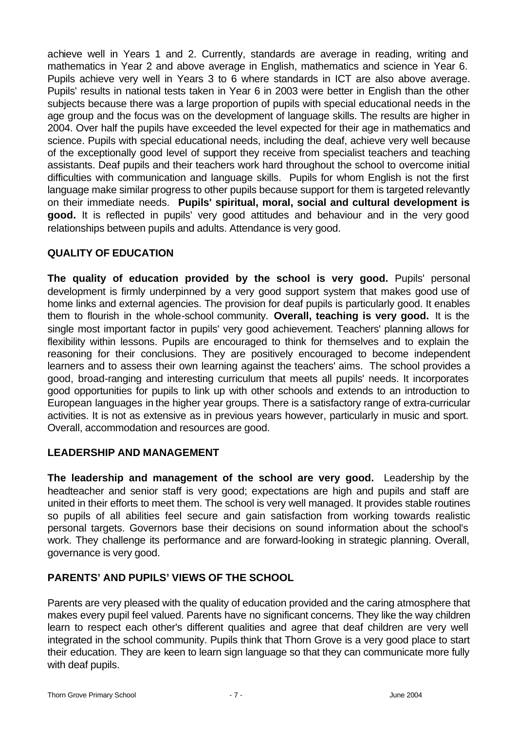achieve well in Years 1 and 2. Currently, standards are average in reading, writing and mathematics in Year 2 and above average in English, mathematics and science in Year 6. Pupils achieve very well in Years 3 to 6 where standards in ICT are also above average. Pupils' results in national tests taken in Year 6 in 2003 were better in English than the other subjects because there was a large proportion of pupils with special educational needs in the age group and the focus was on the development of language skills. The results are higher in 2004. Over half the pupils have exceeded the level expected for their age in mathematics and science. Pupils with special educational needs, including the deaf, achieve very well because of the exceptionally good level of support they receive from specialist teachers and teaching assistants. Deaf pupils and their teachers work hard throughout the school to overcome initial difficulties with communication and language skills. Pupils for whom English is not the first language make similar progress to other pupils because support for them is targeted relevantly on their immediate needs. **Pupils' spiritual, moral, social and cultural development is good.** It is reflected in pupils' very good attitudes and behaviour and in the very good relationships between pupils and adults. Attendance is very good.

### **QUALITY OF EDUCATION**

**The quality of education provided by the school is very good.** Pupils' personal development is firmly underpinned by a very good support system that makes good use of home links and external agencies. The provision for deaf pupils is particularly good. It enables them to flourish in the whole-school community. **Overall, teaching is very good.** It is the single most important factor in pupils' very good achievement. Teachers' planning allows for flexibility within lessons. Pupils are encouraged to think for themselves and to explain the reasoning for their conclusions. They are positively encouraged to become independent learners and to assess their own learning against the teachers' aims. The school provides a good, broad-ranging and interesting curriculum that meets all pupils' needs. It incorporates good opportunities for pupils to link up with other schools and extends to an introduction to European languages in the higher year groups. There is a satisfactory range of extra-curricular activities. It is not as extensive as in previous years however, particularly in music and sport. Overall, accommodation and resources are good.

### **LEADERSHIP AND MANAGEMENT**

**The leadership and management of the school are very good.** Leadership by the headteacher and senior staff is very good; expectations are high and pupils and staff are united in their efforts to meet them. The school is very well managed. It provides stable routines so pupils of all abilities feel secure and gain satisfaction from working towards realistic personal targets. Governors base their decisions on sound information about the school's work. They challenge its performance and are forward-looking in strategic planning. Overall, governance is very good.

### **PARENTS' AND PUPILS' VIEWS OF THE SCHOOL**

Parents are very pleased with the quality of education provided and the caring atmosphere that makes every pupil feel valued. Parents have no significant concerns. They like the way children learn to respect each other's different qualities and agree that deaf children are very well integrated in the school community. Pupils think that Thorn Grove is a very good place to start their education. They are keen to learn sign language so that they can communicate more fully with deaf pupils.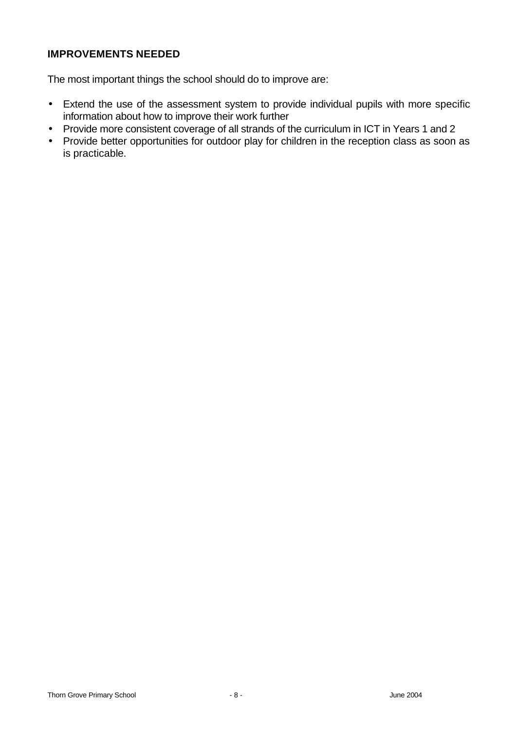### **IMPROVEMENTS NEEDED**

The most important things the school should do to improve are:

- Extend the use of the assessment system to provide individual pupils with more specific information about how to improve their work further
- Provide more consistent coverage of all strands of the curriculum in ICT in Years 1 and 2
- Provide better opportunities for outdoor play for children in the reception class as soon as is practicable.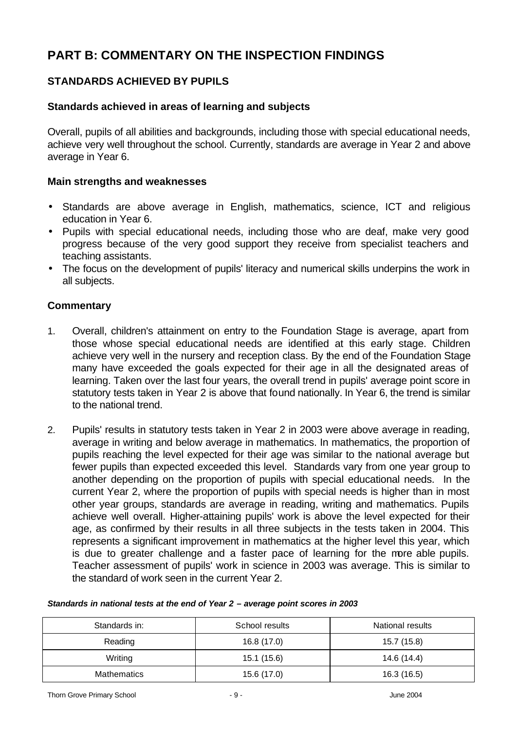# **PART B: COMMENTARY ON THE INSPECTION FINDINGS**

# **STANDARDS ACHIEVED BY PUPILS**

### **Standards achieved in areas of learning and subjects**

Overall, pupils of all abilities and backgrounds, including those with special educational needs, achieve very well throughout the school. Currently, standards are average in Year 2 and above average in Year 6.

#### **Main strengths and weaknesses**

- Standards are above average in English, mathematics, science, ICT and religious education in Year 6.
- Pupils with special educational needs, including those who are deaf, make very good progress because of the very good support they receive from specialist teachers and teaching assistants.
- The focus on the development of pupils' literacy and numerical skills underpins the work in all subjects.

- 1. Overall, children's attainment on entry to the Foundation Stage is average, apart from those whose special educational needs are identified at this early stage. Children achieve very well in the nursery and reception class. By the end of the Foundation Stage many have exceeded the goals expected for their age in all the designated areas of learning. Taken over the last four years, the overall trend in pupils' average point score in statutory tests taken in Year 2 is above that found nationally. In Year 6, the trend is similar to the national trend.
- 2. Pupils' results in statutory tests taken in Year 2 in 2003 were above average in reading, average in writing and below average in mathematics. In mathematics, the proportion of pupils reaching the level expected for their age was similar to the national average but fewer pupils than expected exceeded this level. Standards vary from one year group to another depending on the proportion of pupils with special educational needs. In the current Year 2, where the proportion of pupils with special needs is higher than in most other year groups, standards are average in reading, writing and mathematics. Pupils achieve well overall. Higher-attaining pupils' work is above the level expected for their age, as confirmed by their results in all three subjects in the tests taken in 2004. This represents a significant improvement in mathematics at the higher level this year, which is due to greater challenge and a faster pace of learning for the more able pupils. Teacher assessment of pupils' work in science in 2003 was average. This is similar to the standard of work seen in the current Year 2.

| Standards in:      | School results | National results |
|--------------------|----------------|------------------|
| Reading            | 16.8 (17.0)    | 15.7 (15.8)      |
| Writing            | 15.1 (15.6)    | 14.6 (14.4)      |
| <b>Mathematics</b> | 15.6 (17.0)    | 16.3 (16.5)      |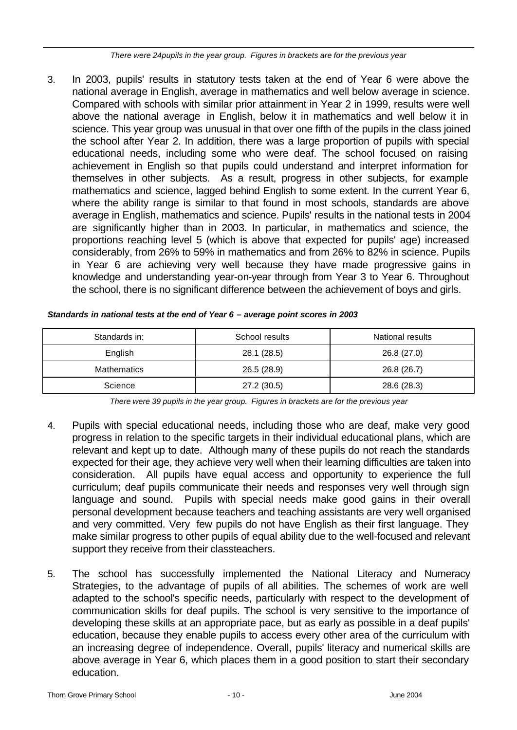*There were 24pupils in the year group. Figures in brackets are for the previous year* 

3. In 2003, pupils' results in statutory tests taken at the end of Year 6 were above the national average in English, average in mathematics and well below average in science. Compared with schools with similar prior attainment in Year 2 in 1999, results were well above the national average in English, below it in mathematics and well below it in science. This year group was unusual in that over one fifth of the pupils in the class joined the school after Year 2. In addition, there was a large proportion of pupils with special educational needs, including some who were deaf. The school focused on raising achievement in English so that pupils could understand and interpret information for themselves in other subjects. As a result, progress in other subjects, for example mathematics and science, lagged behind English to some extent. In the current Year 6, where the ability range is similar to that found in most schools, standards are above average in English, mathematics and science. Pupils' results in the national tests in 2004 are significantly higher than in 2003. In particular, in mathematics and science, the proportions reaching level 5 (which is above that expected for pupils' age) increased considerably, from 26% to 59% in mathematics and from 26% to 82% in science. Pupils in Year 6 are achieving very well because they have made progressive gains in knowledge and understanding year-on-year through from Year 3 to Year 6. Throughout the school, there is no significant difference between the achievement of boys and girls.

| Standards in:      | School results | National results |
|--------------------|----------------|------------------|
| English            | 28.1 (28.5)    | 26.8 (27.0)      |
| <b>Mathematics</b> | 26.5 (28.9)    | 26.8 (26.7)      |
| Science            | 27.2 (30.5)    | 28.6 (28.3)      |

*Standards in national tests at the end of Year 6 – average point scores in 2003*

*There were 39 pupils in the year group. Figures in brackets are for the previous year*

- 4. Pupils with special educational needs, including those who are deaf, make very good progress in relation to the specific targets in their individual educational plans, which are relevant and kept up to date. Although many of these pupils do not reach the standards expected for their age, they achieve very well when their learning difficulties are taken into consideration. All pupils have equal access and opportunity to experience the full curriculum; deaf pupils communicate their needs and responses very well through sign language and sound. Pupils with special needs make good gains in their overall personal development because teachers and teaching assistants are very well organised and very committed. Very few pupils do not have English as their first language. They make similar progress to other pupils of equal ability due to the well-focused and relevant support they receive from their classteachers.
- 5. The school has successfully implemented the National Literacy and Numeracy Strategies, to the advantage of pupils of all abilities. The schemes of work are well adapted to the school's specific needs, particularly with respect to the development of communication skills for deaf pupils. The school is very sensitive to the importance of developing these skills at an appropriate pace, but as early as possible in a deaf pupils' education, because they enable pupils to access every other area of the curriculum with an increasing degree of independence. Overall, pupils' literacy and numerical skills are above average in Year 6, which places them in a good position to start their secondary education.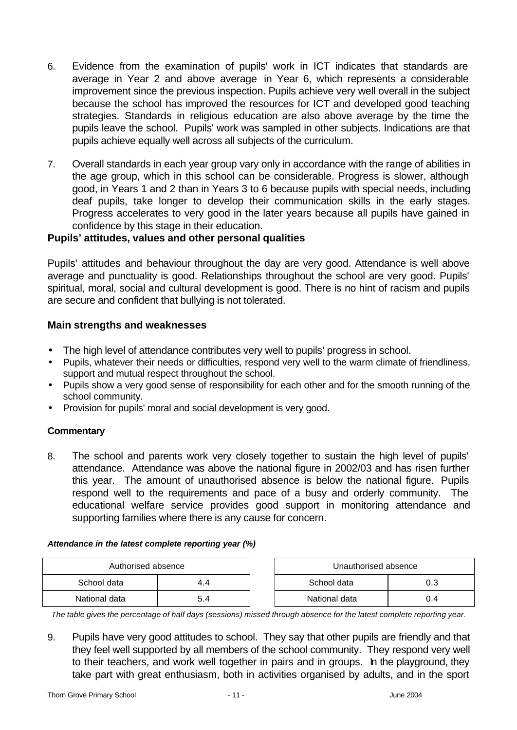- 6. Evidence from the examination of pupils' work in ICT indicates that standards are average in Year 2 and above average in Year 6, which represents a considerable improvement since the previous inspection. Pupils achieve very well overall in the subject because the school has improved the resources for ICT and developed good teaching strategies. Standards in religious education are also above average by the time the pupils leave the school. Pupils' work was sampled in other subjects. Indications are that pupils achieve equally well across all subjects of the curriculum.
- 7. Overall standards in each year group vary only in accordance with the range of abilities in the age group, which in this school can be considerable. Progress is slower, although good, in Years 1 and 2 than in Years 3 to 6 because pupils with special needs, including deaf pupils, take longer to develop their communication skills in the early stages. Progress accelerates to very good in the later years because all pupils have gained in confidence by this stage in their education.

### **Pupils' attitudes, values and other personal qualities**

Pupils' attitudes and behaviour throughout the day are very good. Attendance is well above average and punctuality is good. Relationships throughout the school are very good. Pupils' spiritual, moral, social and cultural development is good. There is no hint of racism and pupils are secure and confident that bullying is not tolerated.

### **Main strengths and weaknesses**

- The high level of attendance contributes very well to pupils' progress in school.
- Pupils, whatever their needs or difficulties, respond very well to the warm climate of friendliness, support and mutual respect throughout the school.
- Pupils show a very good sense of responsibility for each other and for the smooth running of the school community.
- Provision for pupils' moral and social development is very good.

### **Commentary**

8. The school and parents work very closely together to sustain the high level of pupils' attendance. Attendance was above the national figure in 2002/03 and has risen further this year. The amount of unauthorised absence is below the national figure. Pupils respond well to the requirements and pace of a busy and orderly community. The educational welfare service provides good support in monitoring attendance and supporting families where there is any cause for concern.

#### *Attendance in the latest complete reporting year (%)*

| Authorised absence |     |  | Unauthorised absence |     |
|--------------------|-----|--|----------------------|-----|
| School data        |     |  | School data          |     |
| National data      | 5.4 |  | National data        | 0.4 |

*The table gives the percentage of half days (sessions) missed through absence for the latest complete reporting year.*

9. Pupils have very good attitudes to school. They say that other pupils are friendly and that they feel well supported by all members of the school community. They respond very well to their teachers, and work well together in pairs and in groups. In the playground, they take part with great enthusiasm, both in activities organised by adults, and in the sport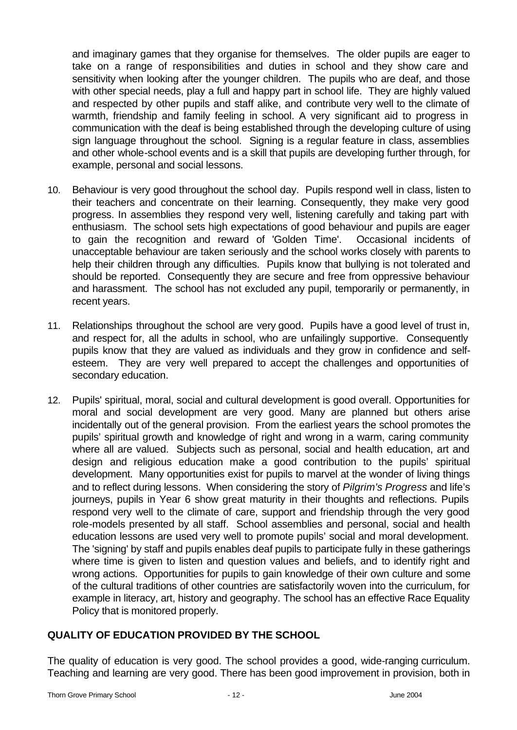and imaginary games that they organise for themselves. The older pupils are eager to take on a range of responsibilities and duties in school and they show care and sensitivity when looking after the younger children. The pupils who are deaf, and those with other special needs, play a full and happy part in school life. They are highly valued and respected by other pupils and staff alike, and contribute very well to the climate of warmth, friendship and family feeling in school. A very significant aid to progress in communication with the deaf is being established through the developing culture of using sign language throughout the school. Signing is a regular feature in class, assemblies and other whole-school events and is a skill that pupils are developing further through, for example, personal and social lessons.

- 10. Behaviour is very good throughout the school day. Pupils respond well in class, listen to their teachers and concentrate on their learning. Consequently, they make very good progress. In assemblies they respond very well, listening carefully and taking part with enthusiasm. The school sets high expectations of good behaviour and pupils are eager to gain the recognition and reward of 'Golden Time'. Occasional incidents of unacceptable behaviour are taken seriously and the school works closely with parents to help their children through any difficulties. Pupils know that bullying is not tolerated and should be reported. Consequently they are secure and free from oppressive behaviour and harassment. The school has not excluded any pupil, temporarily or permanently, in recent years.
- 11. Relationships throughout the school are very good. Pupils have a good level of trust in, and respect for, all the adults in school, who are unfailingly supportive. Consequently pupils know that they are valued as individuals and they grow in confidence and selfesteem. They are very well prepared to accept the challenges and opportunities of secondary education.
- 12. Pupils' spiritual, moral, social and cultural development is good overall. Opportunities for moral and social development are very good. Many are planned but others arise incidentally out of the general provision. From the earliest years the school promotes the pupils' spiritual growth and knowledge of right and wrong in a warm, caring community where all are valued. Subjects such as personal, social and health education, art and design and religious education make a good contribution to the pupils' spiritual development. Many opportunities exist for pupils to marvel at the wonder of living things and to reflect during lessons. When considering the story of *Pilgrim's Progress* and life's journeys, pupils in Year 6 show great maturity in their thoughts and reflections. Pupils respond very well to the climate of care, support and friendship through the very good role-models presented by all staff. School assemblies and personal, social and health education lessons are used very well to promote pupils' social and moral development. The 'signing' by staff and pupils enables deaf pupils to participate fully in these gatherings where time is given to listen and question values and beliefs, and to identify right and wrong actions. Opportunities for pupils to gain knowledge of their own culture and some of the cultural traditions of other countries are satisfactorily woven into the curriculum, for example in literacy, art, history and geography. The school has an effective Race Equality Policy that is monitored properly.

### **QUALITY OF EDUCATION PROVIDED BY THE SCHOOL**

The quality of education is very good. The school provides a good, wide-ranging curriculum. Teaching and learning are very good. There has been good improvement in provision, both in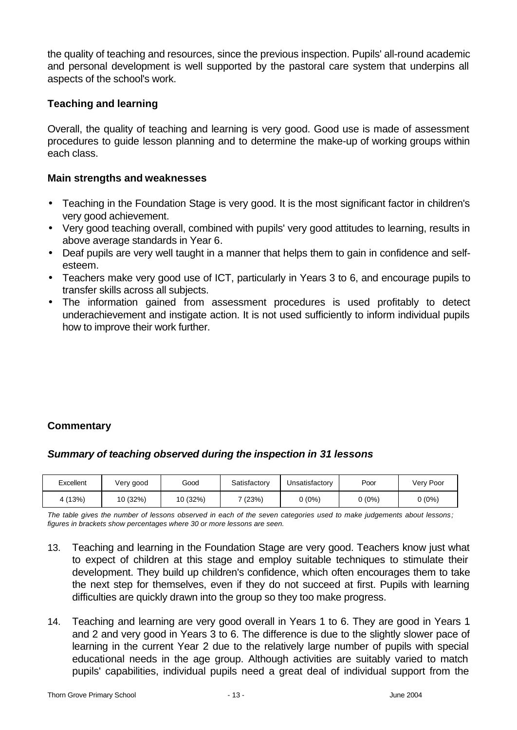the quality of teaching and resources, since the previous inspection. Pupils' all-round academic and personal development is well supported by the pastoral care system that underpins all aspects of the school's work.

### **Teaching and learning**

Overall, the quality of teaching and learning is very good. Good use is made of assessment procedures to guide lesson planning and to determine the make-up of working groups within each class.

### **Main strengths and weaknesses**

- Teaching in the Foundation Stage is very good. It is the most significant factor in children's very good achievement.
- Very good teaching overall, combined with pupils' very good attitudes to learning, results in above average standards in Year 6.
- Deaf pupils are very well taught in a manner that helps them to gain in confidence and selfesteem.
- Teachers make very good use of ICT, particularly in Years 3 to 6, and encourage pupils to transfer skills across all subjects.
- The information gained from assessment procedures is used profitably to detect underachievement and instigate action. It is not used sufficiently to inform individual pupils how to improve their work further.

### **Commentary**

### *Summary of teaching observed during the inspection in 31 lessons*

| Excellent | Very good | Good     | Satisfactory | Unsatisfactory | Poor   | Very Poor       |
|-----------|-----------|----------|--------------|----------------|--------|-----------------|
| 4 (13%)   | 10 (32%)  | 10 (32%) | (23%)        | 0 (0%)         | 0 (0%) | <u> ა (0%) </u> |

*The table gives the number of lessons observed in each of the seven categories used to make judgements about lessons; figures in brackets show percentages where 30 or more lessons are seen.*

- 13. Teaching and learning in the Foundation Stage are very good. Teachers know just what to expect of children at this stage and employ suitable techniques to stimulate their development. They build up children's confidence, which often encourages them to take the next step for themselves, even if they do not succeed at first. Pupils with learning difficulties are quickly drawn into the group so they too make progress.
- 14. Teaching and learning are very good overall in Years 1 to 6. They are good in Years 1 and 2 and very good in Years 3 to 6. The difference is due to the slightly slower pace of learning in the current Year 2 due to the relatively large number of pupils with special educational needs in the age group. Although activities are suitably varied to match pupils' capabilities, individual pupils need a great deal of individual support from the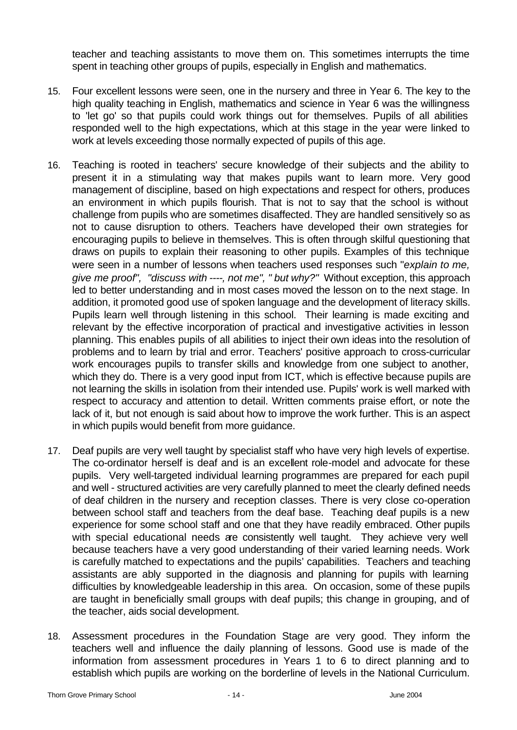teacher and teaching assistants to move them on. This sometimes interrupts the time spent in teaching other groups of pupils, especially in English and mathematics.

- 15. Four excellent lessons were seen, one in the nursery and three in Year 6. The key to the high quality teaching in English, mathematics and science in Year 6 was the willingness to 'let go' so that pupils could work things out for themselves. Pupils of all abilities responded well to the high expectations, which at this stage in the year were linked to work at levels exceeding those normally expected of pupils of this age.
- 16. Teaching is rooted in teachers' secure knowledge of their subjects and the ability to present it in a stimulating way that makes pupils want to learn more. Very good management of discipline, based on high expectations and respect for others, produces an environment in which pupils flourish. That is not to say that the school is without challenge from pupils who are sometimes disaffected. They are handled sensitively so as not to cause disruption to others. Teachers have developed their own strategies for encouraging pupils to believe in themselves. This is often through skilful questioning that draws on pupils to explain their reasoning to other pupils. Examples of this technique were seen in a number of lessons when teachers used responses such "*explain to me, give me proof", "discuss with ----, not me", " but why?"* Without exception, this approach led to better understanding and in most cases moved the lesson on to the next stage. In addition, it promoted good use of spoken language and the development of literacy skills. Pupils learn well through listening in this school. Their learning is made exciting and relevant by the effective incorporation of practical and investigative activities in lesson planning. This enables pupils of all abilities to inject their own ideas into the resolution of problems and to learn by trial and error. Teachers' positive approach to cross-curricular work encourages pupils to transfer skills and knowledge from one subject to another, which they do. There is a very good input from ICT, which is effective because pupils are not learning the skills in isolation from their intended use. Pupils' work is well marked with respect to accuracy and attention to detail. Written comments praise effort, or note the lack of it, but not enough is said about how to improve the work further. This is an aspect in which pupils would benefit from more guidance.
- 17. Deaf pupils are very well taught by specialist staff who have very high levels of expertise. The co-ordinator herself is deaf and is an excellent role-model and advocate for these pupils. Very well-targeted individual learning programmes are prepared for each pupil and well - structured activities are very carefully planned to meet the clearly defined needs of deaf children in the nursery and reception classes. There is very close co-operation between school staff and teachers from the deaf base. Teaching deaf pupils is a new experience for some school staff and one that they have readily embraced. Other pupils with special educational needs are consistently well taught. They achieve very well because teachers have a very good understanding of their varied learning needs. Work is carefully matched to expectations and the pupils' capabilities. Teachers and teaching assistants are ably supported in the diagnosis and planning for pupils with learning difficulties by knowledgeable leadership in this area. On occasion, some of these pupils are taught in beneficially small groups with deaf pupils; this change in grouping, and of the teacher, aids social development.
- 18. Assessment procedures in the Foundation Stage are very good. They inform the teachers well and influence the daily planning of lessons. Good use is made of the information from assessment procedures in Years 1 to 6 to direct planning and to establish which pupils are working on the borderline of levels in the National Curriculum.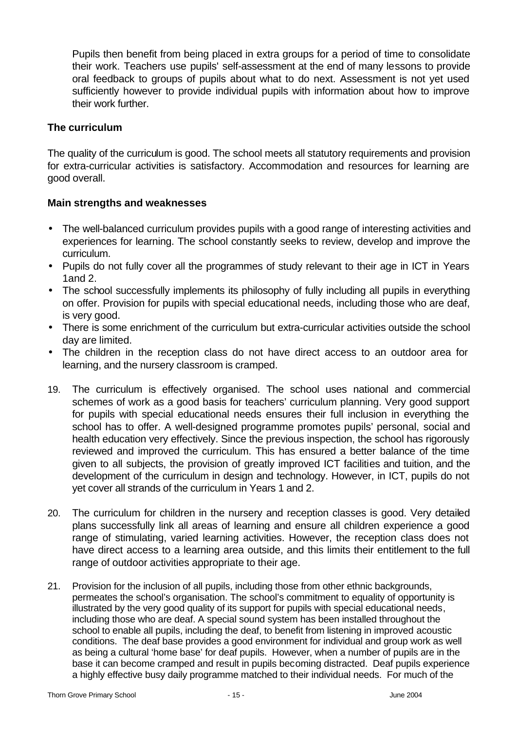Pupils then benefit from being placed in extra groups for a period of time to consolidate their work. Teachers use pupils' self-assessment at the end of many lessons to provide oral feedback to groups of pupils about what to do next. Assessment is not yet used sufficiently however to provide individual pupils with information about how to improve their work further.

### **The curriculum**

The quality of the curriculum is good. The school meets all statutory requirements and provision for extra-curricular activities is satisfactory. Accommodation and resources for learning are good overall.

#### **Main strengths and weaknesses**

- The well-balanced curriculum provides pupils with a good range of interesting activities and experiences for learning. The school constantly seeks to review, develop and improve the curriculum.
- Pupils do not fully cover all the programmes of study relevant to their age in ICT in Years 1and 2.
- The school successfully implements its philosophy of fully including all pupils in everything on offer. Provision for pupils with special educational needs, including those who are deaf, is very good.
- There is some enrichment of the curriculum but extra-curricular activities outside the school day are limited.
- The children in the reception class do not have direct access to an outdoor area for learning, and the nursery classroom is cramped.
- 19. The curriculum is effectively organised. The school uses national and commercial schemes of work as a good basis for teachers' curriculum planning. Very good support for pupils with special educational needs ensures their full inclusion in everything the school has to offer. A well-designed programme promotes pupils' personal, social and health education very effectively. Since the previous inspection, the school has rigorously reviewed and improved the curriculum. This has ensured a better balance of the time given to all subjects, the provision of greatly improved ICT facilities and tuition, and the development of the curriculum in design and technology. However, in ICT, pupils do not yet cover all strands of the curriculum in Years 1 and 2.
- 20. The curriculum for children in the nursery and reception classes is good. Very detailed plans successfully link all areas of learning and ensure all children experience a good range of stimulating, varied learning activities. However, the reception class does not have direct access to a learning area outside, and this limits their entitlement to the full range of outdoor activities appropriate to their age.
- 21. Provision for the inclusion of all pupils, including those from other ethnic backgrounds, permeates the school's organisation. The school's commitment to equality of opportunity is illustrated by the very good quality of its support for pupils with special educational needs, including those who are deaf. A special sound system has been installed throughout the school to enable all pupils, including the deaf, to benefit from listening in improved acoustic conditions. The deaf base provides a good environment for individual and group work as well as being a cultural 'home base' for deaf pupils. However, when a number of pupils are in the base it can become cramped and result in pupils becoming distracted. Deaf pupils experience a highly effective busy daily programme matched to their individual needs. For much of the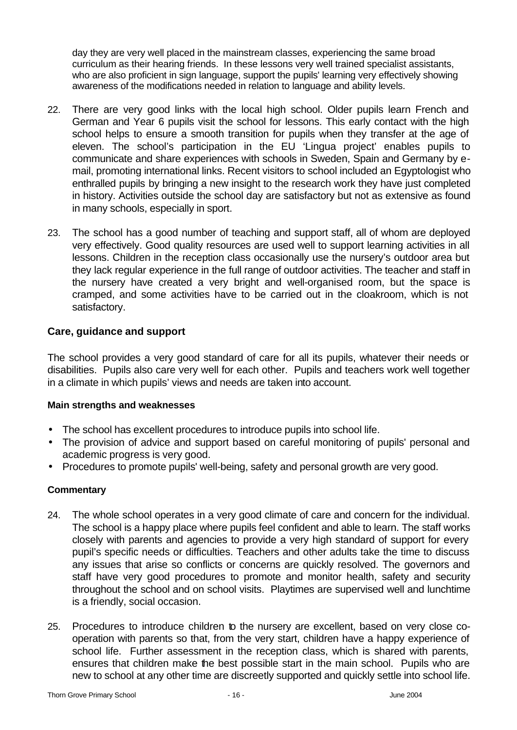day they are very well placed in the mainstream classes, experiencing the same broad curriculum as their hearing friends. In these lessons very well trained specialist assistants, who are also proficient in sign language, support the pupils' learning very effectively showing awareness of the modifications needed in relation to language and ability levels.

- 22. There are very good links with the local high school. Older pupils learn French and German and Year 6 pupils visit the school for lessons. This early contact with the high school helps to ensure a smooth transition for pupils when they transfer at the age of eleven. The school's participation in the EU 'Lingua project' enables pupils to communicate and share experiences with schools in Sweden, Spain and Germany by email, promoting international links. Recent visitors to school included an Egyptologist who enthralled pupils by bringing a new insight to the research work they have just completed in history. Activities outside the school day are satisfactory but not as extensive as found in many schools, especially in sport.
- 23. The school has a good number of teaching and support staff, all of whom are deployed very effectively. Good quality resources are used well to support learning activities in all lessons. Children in the reception class occasionally use the nursery's outdoor area but they lack regular experience in the full range of outdoor activities. The teacher and staff in the nursery have created a very bright and well-organised room, but the space is cramped, and some activities have to be carried out in the cloakroom, which is not satisfactory.

### **Care, guidance and support**

The school provides a very good standard of care for all its pupils, whatever their needs or disabilities. Pupils also care very well for each other. Pupils and teachers work well together in a climate in which pupils' views and needs are taken into account.

### **Main strengths and weaknesses**

- The school has excellent procedures to introduce pupils into school life.
- The provision of advice and support based on careful monitoring of pupils' personal and academic progress is very good.
- Procedures to promote pupils' well-being, safety and personal growth are very good.

- 24. The whole school operates in a very good climate of care and concern for the individual. The school is a happy place where pupils feel confident and able to learn. The staff works closely with parents and agencies to provide a very high standard of support for every pupil's specific needs or difficulties. Teachers and other adults take the time to discuss any issues that arise so conflicts or concerns are quickly resolved. The governors and staff have very good procedures to promote and monitor health, safety and security throughout the school and on school visits. Playtimes are supervised well and lunchtime is a friendly, social occasion.
- 25. Procedures to introduce children to the nursery are excellent, based on very close cooperation with parents so that, from the very start, children have a happy experience of school life. Further assessment in the reception class, which is shared with parents, ensures that children make the best possible start in the main school. Pupils who are new to school at any other time are discreetly supported and quickly settle into school life.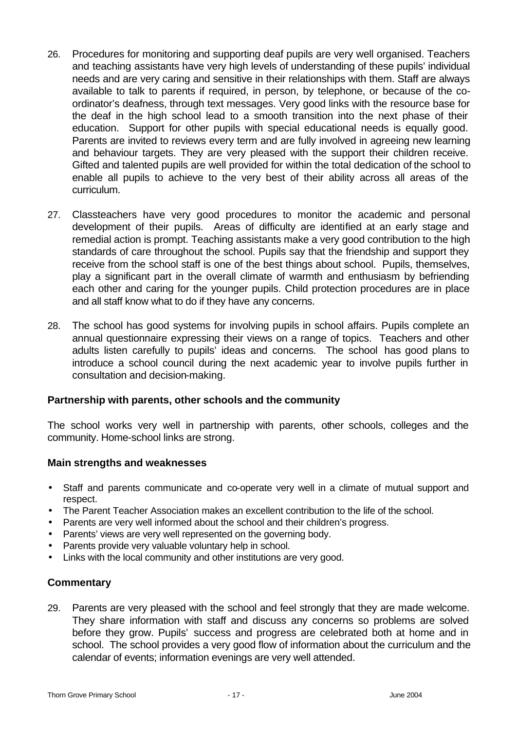- 26. Procedures for monitoring and supporting deaf pupils are very well organised. Teachers and teaching assistants have very high levels of understanding of these pupils' individual needs and are very caring and sensitive in their relationships with them. Staff are always available to talk to parents if required, in person, by telephone, or because of the coordinator's deafness, through text messages. Very good links with the resource base for the deaf in the high school lead to a smooth transition into the next phase of their education. Support for other pupils with special educational needs is equally good. Parents are invited to reviews every term and are fully involved in agreeing new learning and behaviour targets. They are very pleased with the support their children receive. Gifted and talented pupils are well provided for within the total dedication of the school to enable all pupils to achieve to the very best of their ability across all areas of the curriculum.
- 27. Classteachers have very good procedures to monitor the academic and personal development of their pupils. Areas of difficulty are identified at an early stage and remedial action is prompt. Teaching assistants make a very good contribution to the high standards of care throughout the school. Pupils say that the friendship and support they receive from the school staff is one of the best things about school. Pupils, themselves, play a significant part in the overall climate of warmth and enthusiasm by befriending each other and caring for the younger pupils. Child protection procedures are in place and all staff know what to do if they have any concerns.
- 28. The school has good systems for involving pupils in school affairs. Pupils complete an annual questionnaire expressing their views on a range of topics. Teachers and other adults listen carefully to pupils' ideas and concerns. The school has good plans to introduce a school council during the next academic year to involve pupils further in consultation and decision-making.

### **Partnership with parents, other schools and the community**

The school works very well in partnership with parents, other schools, colleges and the community. Home-school links are strong.

### **Main strengths and weaknesses**

- Staff and parents communicate and co-operate very well in a climate of mutual support and respect.
- The Parent Teacher Association makes an excellent contribution to the life of the school.
- Parents are very well informed about the school and their children's progress.
- Parents' views are very well represented on the governing body.
- Parents provide very valuable voluntary help in school.
- Links with the local community and other institutions are very good.

### **Commentary**

29. Parents are very pleased with the school and feel strongly that they are made welcome. They share information with staff and discuss any concerns so problems are solved before they grow. Pupils' success and progress are celebrated both at home and in school. The school provides a very good flow of information about the curriculum and the calendar of events; information evenings are very well attended.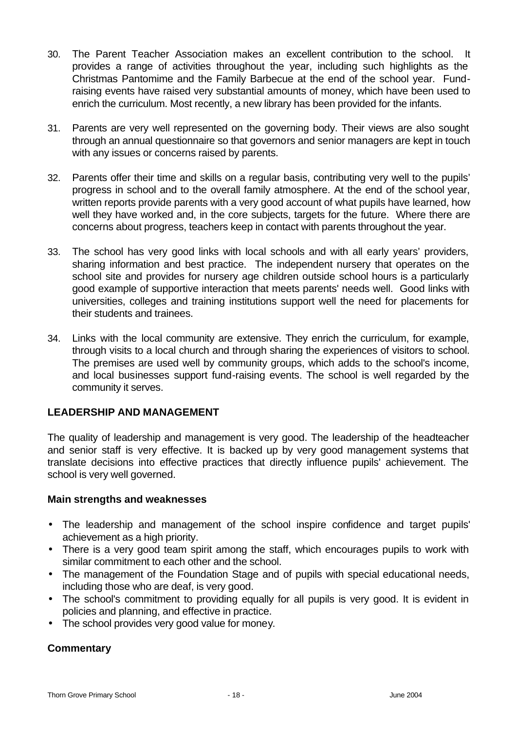- 30. The Parent Teacher Association makes an excellent contribution to the school. It provides a range of activities throughout the year, including such highlights as the Christmas Pantomime and the Family Barbecue at the end of the school year. Fundraising events have raised very substantial amounts of money, which have been used to enrich the curriculum. Most recently, a new library has been provided for the infants.
- 31. Parents are very well represented on the governing body. Their views are also sought through an annual questionnaire so that governors and senior managers are kept in touch with any issues or concerns raised by parents.
- 32. Parents offer their time and skills on a regular basis, contributing very well to the pupils' progress in school and to the overall family atmosphere. At the end of the school year, written reports provide parents with a very good account of what pupils have learned, how well they have worked and, in the core subjects, targets for the future. Where there are concerns about progress, teachers keep in contact with parents throughout the year.
- 33. The school has very good links with local schools and with all early years' providers, sharing information and best practice. The independent nursery that operates on the school site and provides for nursery age children outside school hours is a particularly good example of supportive interaction that meets parents' needs well. Good links with universities, colleges and training institutions support well the need for placements for their students and trainees.
- 34. Links with the local community are extensive. They enrich the curriculum, for example, through visits to a local church and through sharing the experiences of visitors to school. The premises are used well by community groups, which adds to the school's income, and local businesses support fund-raising events. The school is well regarded by the community it serves.

### **LEADERSHIP AND MANAGEMENT**

The quality of leadership and management is very good. The leadership of the headteacher and senior staff is very effective. It is backed up by very good management systems that translate decisions into effective practices that directly influence pupils' achievement. The school is very well governed.

### **Main strengths and weaknesses**

- The leadership and management of the school inspire confidence and target pupils' achievement as a high priority.
- There is a very good team spirit among the staff, which encourages pupils to work with similar commitment to each other and the school.
- The management of the Foundation Stage and of pupils with special educational needs, including those who are deaf, is very good.
- The school's commitment to providing equally for all pupils is very good. It is evident in policies and planning, and effective in practice.
- The school provides very good value for money.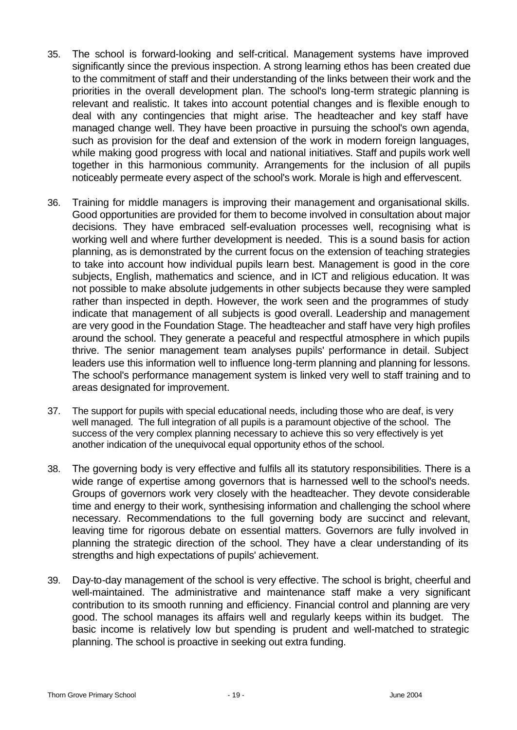- 35. The school is forward-looking and self-critical. Management systems have improved significantly since the previous inspection. A strong learning ethos has been created due to the commitment of staff and their understanding of the links between their work and the priorities in the overall development plan. The school's long-term strategic planning is relevant and realistic. It takes into account potential changes and is flexible enough to deal with any contingencies that might arise. The headteacher and key staff have managed change well. They have been proactive in pursuing the school's own agenda, such as provision for the deaf and extension of the work in modern foreign languages, while making good progress with local and national initiatives. Staff and pupils work well together in this harmonious community. Arrangements for the inclusion of all pupils noticeably permeate every aspect of the school's work. Morale is high and effervescent.
- 36. Training for middle managers is improving their management and organisational skills. Good opportunities are provided for them to become involved in consultation about major decisions. They have embraced self-evaluation processes well, recognising what is working well and where further development is needed. This is a sound basis for action planning, as is demonstrated by the current focus on the extension of teaching strategies to take into account how individual pupils learn best. Management is good in the core subjects, English, mathematics and science, and in ICT and religious education. It was not possible to make absolute judgements in other subjects because they were sampled rather than inspected in depth. However, the work seen and the programmes of study indicate that management of all subjects is good overall. Leadership and management are very good in the Foundation Stage. The headteacher and staff have very high profiles around the school. They generate a peaceful and respectful atmosphere in which pupils thrive. The senior management team analyses pupils' performance in detail. Subject leaders use this information well to influence long-term planning and planning for lessons. The school's performance management system is linked very well to staff training and to areas designated for improvement.
- 37. The support for pupils with special educational needs, including those who are deaf, is very well managed. The full integration of all pupils is a paramount objective of the school. The success of the very complex planning necessary to achieve this so very effectively is yet another indication of the unequivocal equal opportunity ethos of the school.
- 38. The governing body is very effective and fulfils all its statutory responsibilities. There is a wide range of expertise among governors that is harnessed well to the school's needs. Groups of governors work very closely with the headteacher. They devote considerable time and energy to their work, synthesising information and challenging the school where necessary. Recommendations to the full governing body are succinct and relevant, leaving time for rigorous debate on essential matters. Governors are fully involved in planning the strategic direction of the school. They have a clear understanding of its strengths and high expectations of pupils' achievement.
- 39. Day-to-day management of the school is very effective. The school is bright, cheerful and well-maintained. The administrative and maintenance staff make a very significant contribution to its smooth running and efficiency. Financial control and planning are very good. The school manages its affairs well and regularly keeps within its budget. The basic income is relatively low but spending is prudent and well-matched to strategic planning. The school is proactive in seeking out extra funding.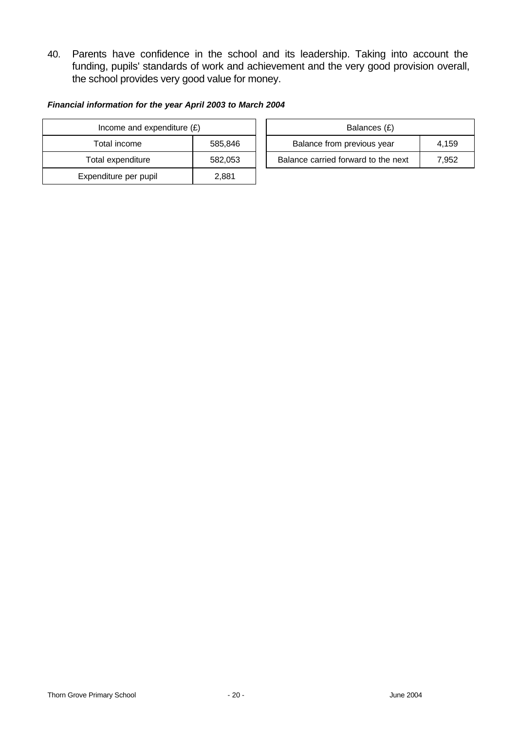40. Parents have confidence in the school and its leadership. Taking into account the funding, pupils' standards of work and achievement and the very good provision overall, the school provides very good value for money.

#### *Financial information for the year April 2003 to March 2004*

| Income and expenditure $(E)$ |         |  | Balances (£)                   |
|------------------------------|---------|--|--------------------------------|
| Total income                 | 585,846 |  | Balance from previous year     |
| Total expenditure            | 582,053 |  | Balance carried forward to the |
| Expenditure per pupil        | 2,881   |  |                                |

| Income and expenditure $(E)$ |         |  | Balances (£)                        |       |
|------------------------------|---------|--|-------------------------------------|-------|
| Total income                 | 585.846 |  | Balance from previous year          | 4.159 |
| Total expenditure            | 582.053 |  | Balance carried forward to the next | 7.952 |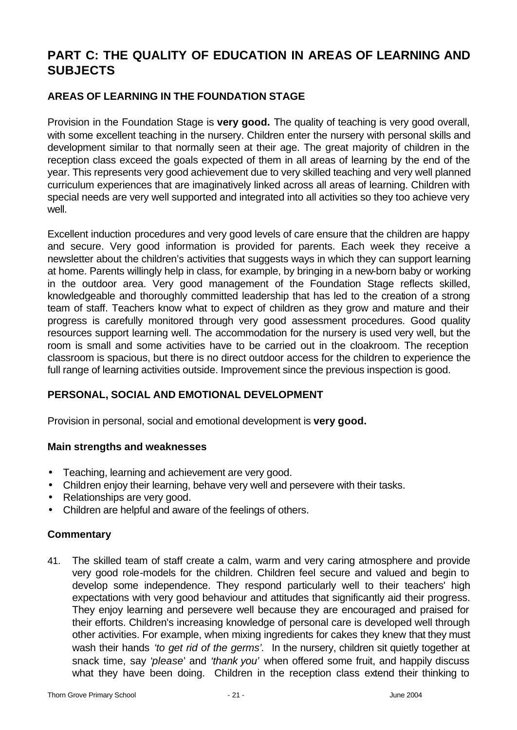# **PART C: THE QUALITY OF EDUCATION IN AREAS OF LEARNING AND SUBJECTS**

# **AREAS OF LEARNING IN THE FOUNDATION STAGE**

Provision in the Foundation Stage is **very good.** The quality of teaching is very good overall, with some excellent teaching in the nursery. Children enter the nursery with personal skills and development similar to that normally seen at their age. The great majority of children in the reception class exceed the goals expected of them in all areas of learning by the end of the year. This represents very good achievement due to very skilled teaching and very well planned curriculum experiences that are imaginatively linked across all areas of learning. Children with special needs are very well supported and integrated into all activities so they too achieve very well.

Excellent induction procedures and very good levels of care ensure that the children are happy and secure. Very good information is provided for parents. Each week they receive a newsletter about the children's activities that suggests ways in which they can support learning at home. Parents willingly help in class, for example, by bringing in a new-born baby or working in the outdoor area. Very good management of the Foundation Stage reflects skilled, knowledgeable and thoroughly committed leadership that has led to the creation of a strong team of staff. Teachers know what to expect of children as they grow and mature and their progress is carefully monitored through very good assessment procedures. Good quality resources support learning well. The accommodation for the nursery is used very well, but the room is small and some activities have to be carried out in the cloakroom. The reception classroom is spacious, but there is no direct outdoor access for the children to experience the full range of learning activities outside. Improvement since the previous inspection is good.

### **PERSONAL, SOCIAL AND EMOTIONAL DEVELOPMENT**

Provision in personal, social and emotional development is **very good.**

### **Main strengths and weaknesses**

- Teaching, learning and achievement are very good.
- Children enjoy their learning, behave very well and persevere with their tasks.
- Relationships are very good.
- Children are helpful and aware of the feelings of others.

### **Commentary**

41. The skilled team of staff create a calm, warm and very caring atmosphere and provide very good role-models for the children. Children feel secure and valued and begin to develop some independence. They respond particularly well to their teachers' high expectations with very good behaviour and attitudes that significantly aid their progress. They enjoy learning and persevere well because they are encouraged and praised for their efforts. Children's increasing knowledge of personal care is developed well through other activities. For example, when mixing ingredients for cakes they knew that they must wash their hands *'to get rid of the germs'.* In the nursery, children sit quietly together at snack time, say '*please*' and *'thank you'* when offered some fruit, and happily discuss what they have been doing. Children in the reception class extend their thinking to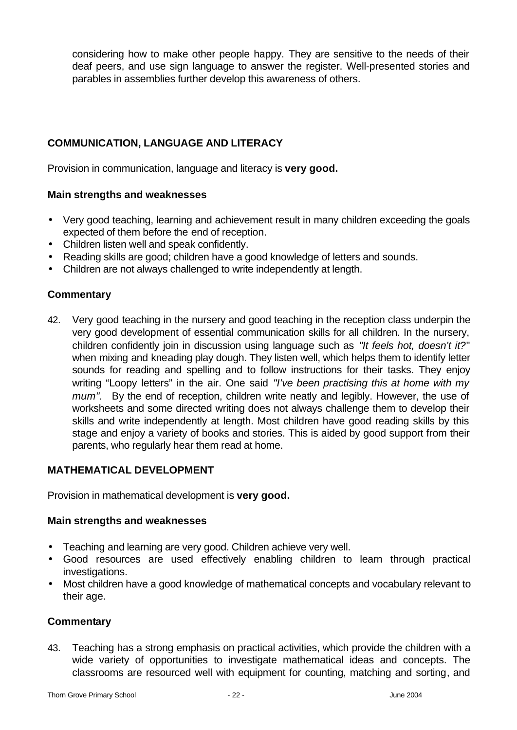considering how to make other people happy. They are sensitive to the needs of their deaf peers, and use sign language to answer the register. Well-presented stories and parables in assemblies further develop this awareness of others.

# **COMMUNICATION, LANGUAGE AND LITERACY**

Provision in communication, language and literacy is **very good.**

### **Main strengths and weaknesses**

- Very good teaching, learning and achievement result in many children exceeding the goals expected of them before the end of reception.
- Children listen well and speak confidently.
- Reading skills are good; children have a good knowledge of letters and sounds.
- Children are not always challenged to write independently at length.

### **Commentary**

42. Very good teaching in the nursery and good teaching in the reception class underpin the very good development of essential communication skills for all children. In the nursery, children confidently join in discussion using language such as *"It feels hot, doesn't it?*" when mixing and kneading play dough. They listen well, which helps them to identify letter sounds for reading and spelling and to follow instructions for their tasks. They enjoy writing "Loopy letters" in the air. One said *"I've been practising this at home with my mum".* By the end of reception, children write neatly and legibly. However, the use of worksheets and some directed writing does not always challenge them to develop their skills and write independently at length. Most children have good reading skills by this stage and enjoy a variety of books and stories. This is aided by good support from their parents, who regularly hear them read at home.

### **MATHEMATICAL DEVELOPMENT**

Provision in mathematical development is **very good.**

### **Main strengths and weaknesses**

- Teaching and learning are very good. Children achieve very well.
- Good resources are used effectively enabling children to learn through practical investigations.
- Most children have a good knowledge of mathematical concepts and vocabulary relevant to their age.

### **Commentary**

43. Teaching has a strong emphasis on practical activities, which provide the children with a wide variety of opportunities to investigate mathematical ideas and concepts. The classrooms are resourced well with equipment for counting, matching and sorting, and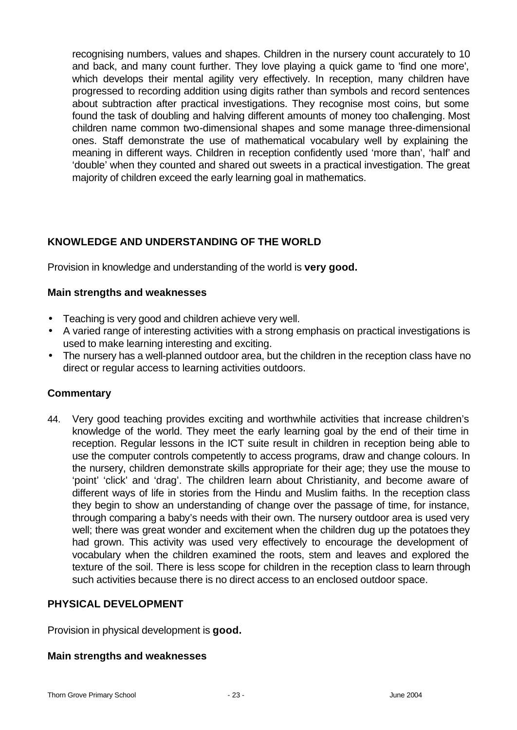recognising numbers, values and shapes. Children in the nursery count accurately to 10 and back, and many count further. They love playing a quick game to 'find one more', which develops their mental agility very effectively. In reception, many children have progressed to recording addition using digits rather than symbols and record sentences about subtraction after practical investigations. They recognise most coins, but some found the task of doubling and halving different amounts of money too challenging. Most children name common two-dimensional shapes and some manage three-dimensional ones. Staff demonstrate the use of mathematical vocabulary well by explaining the meaning in different ways. Children in reception confidently used 'more than', 'half' and 'double' when they counted and shared out sweets in a practical investigation. The great majority of children exceed the early learning goal in mathematics.

# **KNOWLEDGE AND UNDERSTANDING OF THE WORLD**

Provision in knowledge and understanding of the world is **very good.**

### **Main strengths and weaknesses**

- Teaching is very good and children achieve very well.
- A varied range of interesting activities with a strong emphasis on practical investigations is used to make learning interesting and exciting.
- The nursery has a well-planned outdoor area, but the children in the reception class have no direct or regular access to learning activities outdoors.

### **Commentary**

44. Very good teaching provides exciting and worthwhile activities that increase children's knowledge of the world. They meet the early learning goal by the end of their time in reception. Regular lessons in the ICT suite result in children in reception being able to use the computer controls competently to access programs, draw and change colours. In the nursery, children demonstrate skills appropriate for their age; they use the mouse to 'point' 'click' and 'drag'. The children learn about Christianity, and become aware of different ways of life in stories from the Hindu and Muslim faiths. In the reception class they begin to show an understanding of change over the passage of time, for instance, through comparing a baby's needs with their own. The nursery outdoor area is used very well; there was great wonder and excitement when the children dug up the potatoes they had grown. This activity was used very effectively to encourage the development of vocabulary when the children examined the roots, stem and leaves and explored the texture of the soil. There is less scope for children in the reception class to learn through such activities because there is no direct access to an enclosed outdoor space.

### **PHYSICAL DEVELOPMENT**

Provision in physical development is **good.**

### **Main strengths and weaknesses**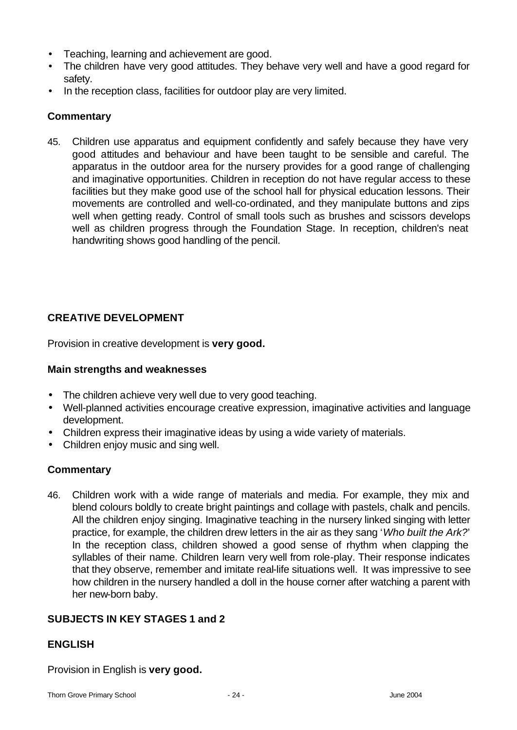- Teaching, learning and achievement are good.
- The children have very good attitudes. They behave very well and have a good regard for safety.
- In the reception class, facilities for outdoor play are very limited.

### **Commentary**

45. Children use apparatus and equipment confidently and safely because they have very good attitudes and behaviour and have been taught to be sensible and careful. The apparatus in the outdoor area for the nursery provides for a good range of challenging and imaginative opportunities. Children in reception do not have regular access to these facilities but they make good use of the school hall for physical education lessons. Their movements are controlled and well-co-ordinated, and they manipulate buttons and zips well when getting ready. Control of small tools such as brushes and scissors develops well as children progress through the Foundation Stage. In reception, children's neat handwriting shows good handling of the pencil.

# **CREATIVE DEVELOPMENT**

Provision in creative development is **very good.**

### **Main strengths and weaknesses**

- The children achieve very well due to very good teaching.
- Well-planned activities encourage creative expression, imaginative activities and language development.
- Children express their imaginative ideas by using a wide variety of materials.
- Children enjoy music and sing well.

### **Commentary**

46. Children work with a wide range of materials and media. For example, they mix and blend colours boldly to create bright paintings and collage with pastels, chalk and pencils. All the children enjoy singing. Imaginative teaching in the nursery linked singing with letter practice, for example, the children drew letters in the air as they sang '*Who built the Ark?*' In the reception class, children showed a good sense of rhythm when clapping the syllables of their name. Children learn very well from role-play. Their response indicates that they observe, remember and imitate real-life situations well. It was impressive to see how children in the nursery handled a doll in the house corner after watching a parent with her new-born baby.

### **SUBJECTS IN KEY STAGES 1 and 2**

### **ENGLISH**

Provision in English is **very good.**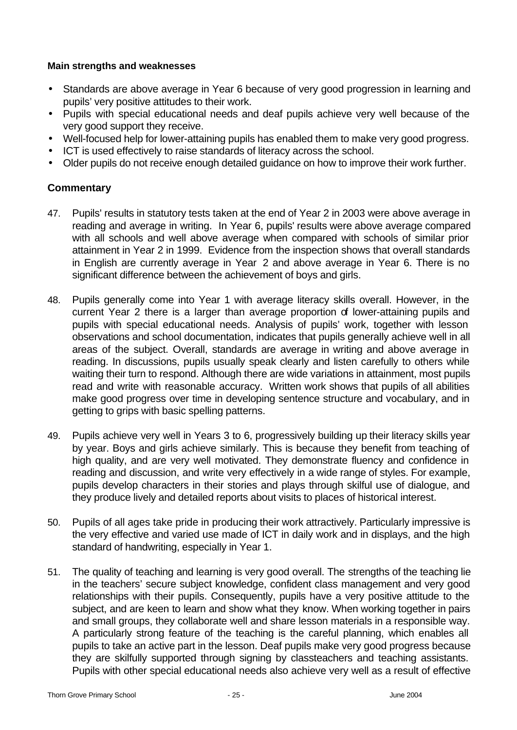#### **Main strengths and weaknesses**

- Standards are above average in Year 6 because of very good progression in learning and pupils' very positive attitudes to their work.
- Pupils with special educational needs and deaf pupils achieve very well because of the very good support they receive.
- Well-focused help for lower-attaining pupils has enabled them to make very good progress.
- ICT is used effectively to raise standards of literacy across the school.
- Older pupils do not receive enough detailed guidance on how to improve their work further.

- 47. Pupils' results in statutory tests taken at the end of Year 2 in 2003 were above average in reading and average in writing. In Year 6, pupils' results were above average compared with all schools and well above average when compared with schools of similar prior attainment in Year 2 in 1999. Evidence from the inspection shows that overall standards in English are currently average in Year 2 and above average in Year 6. There is no significant difference between the achievement of boys and girls.
- 48. Pupils generally come into Year 1 with average literacy skills overall. However, in the current Year 2 there is a larger than average proportion of lower-attaining pupils and pupils with special educational needs. Analysis of pupils' work, together with lesson observations and school documentation, indicates that pupils generally achieve well in all areas of the subject. Overall, standards are average in writing and above average in reading. In discussions, pupils usually speak clearly and listen carefully to others while waiting their turn to respond. Although there are wide variations in attainment, most pupils read and write with reasonable accuracy. Written work shows that pupils of all abilities make good progress over time in developing sentence structure and vocabulary, and in getting to grips with basic spelling patterns.
- 49. Pupils achieve very well in Years 3 to 6, progressively building up their literacy skills year by year. Boys and girls achieve similarly. This is because they benefit from teaching of high quality, and are very well motivated. They demonstrate fluency and confidence in reading and discussion, and write very effectively in a wide range of styles. For example, pupils develop characters in their stories and plays through skilful use of dialogue, and they produce lively and detailed reports about visits to places of historical interest.
- 50. Pupils of all ages take pride in producing their work attractively. Particularly impressive is the very effective and varied use made of ICT in daily work and in displays, and the high standard of handwriting, especially in Year 1.
- 51. The quality of teaching and learning is very good overall. The strengths of the teaching lie in the teachers' secure subject knowledge, confident class management and very good relationships with their pupils. Consequently, pupils have a very positive attitude to the subject, and are keen to learn and show what they know. When working together in pairs and small groups, they collaborate well and share lesson materials in a responsible way. A particularly strong feature of the teaching is the careful planning, which enables all pupils to take an active part in the lesson. Deaf pupils make very good progress because they are skilfully supported through signing by classteachers and teaching assistants. Pupils with other special educational needs also achieve very well as a result of effective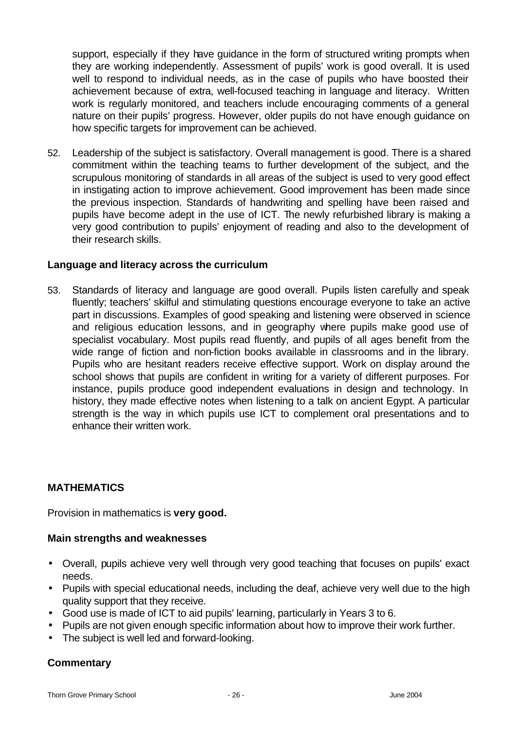support, especially if they have guidance in the form of structured writing prompts when they are working independently. Assessment of pupils' work is good overall. It is used well to respond to individual needs, as in the case of pupils who have boosted their achievement because of extra, well-focused teaching in language and literacy. Written work is regularly monitored, and teachers include encouraging comments of a general nature on their pupils' progress. However, older pupils do not have enough guidance on how specific targets for improvement can be achieved.

52. Leadership of the subject is satisfactory. Overall management is good. There is a shared commitment within the teaching teams to further development of the subject, and the scrupulous monitoring of standards in all areas of the subject is used to very good effect in instigating action to improve achievement. Good improvement has been made since the previous inspection. Standards of handwriting and spelling have been raised and pupils have become adept in the use of ICT. The newly refurbished library is making a very good contribution to pupils' enjoyment of reading and also to the development of their research skills.

#### **Language and literacy across the curriculum**

53. Standards of literacy and language are good overall. Pupils listen carefully and speak fluently; teachers' skilful and stimulating questions encourage everyone to take an active part in discussions. Examples of good speaking and listening were observed in science and religious education lessons, and in geography where pupils make good use of specialist vocabulary. Most pupils read fluently, and pupils of all ages benefit from the wide range of fiction and non-fiction books available in classrooms and in the library. Pupils who are hesitant readers receive effective support. Work on display around the school shows that pupils are confident in writing for a variety of different purposes. For instance, pupils produce good independent evaluations in design and technology. In history, they made effective notes when listening to a talk on ancient Egypt. A particular strength is the way in which pupils use ICT to complement oral presentations and to enhance their written work.

### **MATHEMATICS**

Provision in mathematics is **very good.**

#### **Main strengths and weaknesses**

- Overall, pupils achieve very well through very good teaching that focuses on pupils' exact needs.
- Pupils with special educational needs, including the deaf, achieve very well due to the high quality support that they receive.
- Good use is made of ICT to aid pupils' learning, particularly in Years 3 to 6.
- Pupils are not given enough specific information about how to improve their work further.
- The subject is well led and forward-looking.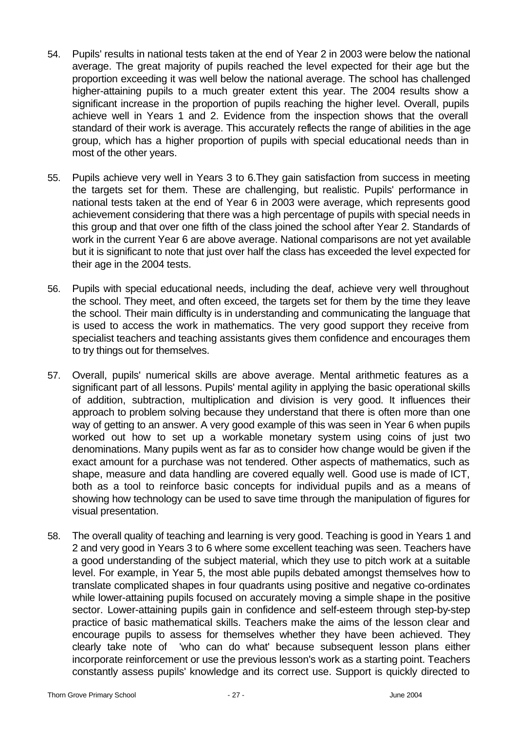- 54. Pupils' results in national tests taken at the end of Year 2 in 2003 were below the national average. The great majority of pupils reached the level expected for their age but the proportion exceeding it was well below the national average. The school has challenged higher-attaining pupils to a much greater extent this year. The 2004 results show a significant increase in the proportion of pupils reaching the higher level. Overall, pupils achieve well in Years 1 and 2. Evidence from the inspection shows that the overall standard of their work is average. This accurately reflects the range of abilities in the age group, which has a higher proportion of pupils with special educational needs than in most of the other years.
- 55. Pupils achieve very well in Years 3 to 6.They gain satisfaction from success in meeting the targets set for them. These are challenging, but realistic. Pupils' performance in national tests taken at the end of Year 6 in 2003 were average, which represents good achievement considering that there was a high percentage of pupils with special needs in this group and that over one fifth of the class joined the school after Year 2. Standards of work in the current Year 6 are above average. National comparisons are not yet available but it is significant to note that just over half the class has exceeded the level expected for their age in the 2004 tests.
- 56. Pupils with special educational needs, including the deaf, achieve very well throughout the school. They meet, and often exceed, the targets set for them by the time they leave the school. Their main difficulty is in understanding and communicating the language that is used to access the work in mathematics. The very good support they receive from specialist teachers and teaching assistants gives them confidence and encourages them to try things out for themselves.
- 57. Overall, pupils' numerical skills are above average. Mental arithmetic features as a significant part of all lessons. Pupils' mental agility in applying the basic operational skills of addition, subtraction, multiplication and division is very good. It influences their approach to problem solving because they understand that there is often more than one way of getting to an answer. A very good example of this was seen in Year 6 when pupils worked out how to set up a workable monetary system using coins of just two denominations. Many pupils went as far as to consider how change would be given if the exact amount for a purchase was not tendered. Other aspects of mathematics, such as shape, measure and data handling are covered equally well. Good use is made of ICT, both as a tool to reinforce basic concepts for individual pupils and as a means of showing how technology can be used to save time through the manipulation of figures for visual presentation.
- 58. The overall quality of teaching and learning is very good. Teaching is good in Years 1 and 2 and very good in Years 3 to 6 where some excellent teaching was seen. Teachers have a good understanding of the subject material, which they use to pitch work at a suitable level. For example, in Year 5, the most able pupils debated amongst themselves how to translate complicated shapes in four quadrants using positive and negative co-ordinates while lower-attaining pupils focused on accurately moving a simple shape in the positive sector. Lower-attaining pupils gain in confidence and self-esteem through step-by-step practice of basic mathematical skills. Teachers make the aims of the lesson clear and encourage pupils to assess for themselves whether they have been achieved. They clearly take note of 'who can do what' because subsequent lesson plans either incorporate reinforcement or use the previous lesson's work as a starting point. Teachers constantly assess pupils' knowledge and its correct use. Support is quickly directed to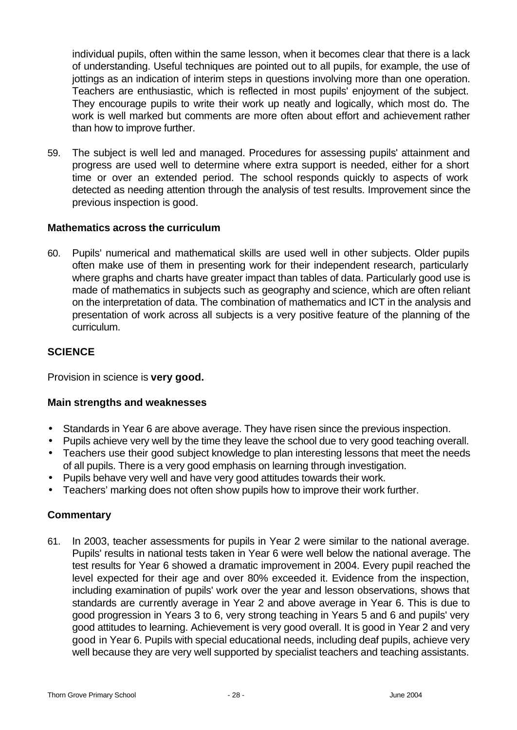individual pupils, often within the same lesson, when it becomes clear that there is a lack of understanding. Useful techniques are pointed out to all pupils, for example, the use of jottings as an indication of interim steps in questions involving more than one operation. Teachers are enthusiastic, which is reflected in most pupils' enjoyment of the subject. They encourage pupils to write their work up neatly and logically, which most do. The work is well marked but comments are more often about effort and achievement rather than how to improve further.

59. The subject is well led and managed. Procedures for assessing pupils' attainment and progress are used well to determine where extra support is needed, either for a short time or over an extended period. The school responds quickly to aspects of work detected as needing attention through the analysis of test results. Improvement since the previous inspection is good.

### **Mathematics across the curriculum**

60. Pupils' numerical and mathematical skills are used well in other subjects. Older pupils often make use of them in presenting work for their independent research, particularly where graphs and charts have greater impact than tables of data. Particularly good use is made of mathematics in subjects such as geography and science, which are often reliant on the interpretation of data. The combination of mathematics and ICT in the analysis and presentation of work across all subjects is a very positive feature of the planning of the curriculum.

### **SCIENCE**

Provision in science is **very good.**

### **Main strengths and weaknesses**

- Standards in Year 6 are above average. They have risen since the previous inspection.
- Pupils achieve very well by the time they leave the school due to very good teaching overall.
- Teachers use their good subject knowledge to plan interesting lessons that meet the needs of all pupils. There is a very good emphasis on learning through investigation.
- Pupils behave very well and have very good attitudes towards their work.
- Teachers' marking does not often show pupils how to improve their work further.

### **Commentary**

61. In 2003, teacher assessments for pupils in Year 2 were similar to the national average. Pupils' results in national tests taken in Year 6 were well below the national average. The test results for Year 6 showed a dramatic improvement in 2004. Every pupil reached the level expected for their age and over 80% exceeded it. Evidence from the inspection, including examination of pupils' work over the year and lesson observations, shows that standards are currently average in Year 2 and above average in Year 6. This is due to good progression in Years 3 to 6, very strong teaching in Years 5 and 6 and pupils' very good attitudes to learning. Achievement is very good overall. It is good in Year 2 and very good in Year 6. Pupils with special educational needs, including deaf pupils, achieve very well because they are very well supported by specialist teachers and teaching assistants.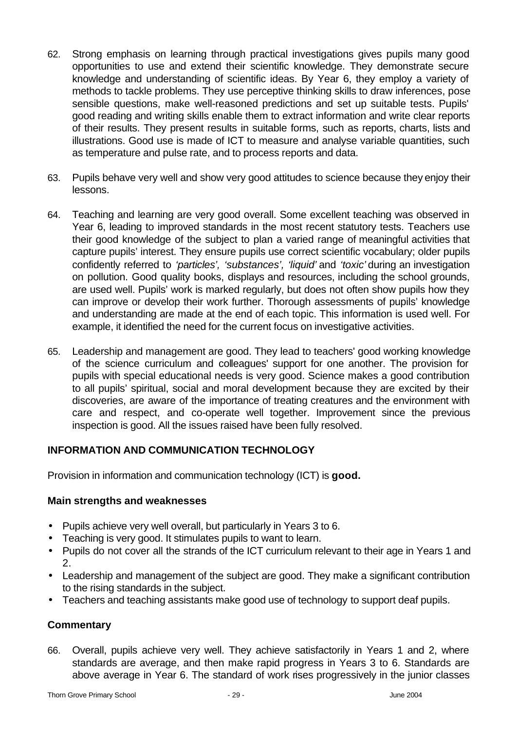- 62. Strong emphasis on learning through practical investigations gives pupils many good opportunities to use and extend their scientific knowledge. They demonstrate secure knowledge and understanding of scientific ideas. By Year 6, they employ a variety of methods to tackle problems. They use perceptive thinking skills to draw inferences, pose sensible questions, make well-reasoned predictions and set up suitable tests. Pupils' good reading and writing skills enable them to extract information and write clear reports of their results. They present results in suitable forms, such as reports, charts, lists and illustrations. Good use is made of ICT to measure and analyse variable quantities, such as temperature and pulse rate, and to process reports and data.
- 63. Pupils behave very well and show very good attitudes to science because they enjoy their lessons.
- 64. Teaching and learning are very good overall. Some excellent teaching was observed in Year 6, leading to improved standards in the most recent statutory tests. Teachers use their good knowledge of the subject to plan a varied range of meaningful activities that capture pupils' interest. They ensure pupils use correct scientific vocabulary; older pupils confidently referred to *'particles', 'substances', 'liquid'* and *'toxic'* during an investigation on pollution. Good quality books, displays and resources, including the school grounds, are used well. Pupils' work is marked regularly, but does not often show pupils how they can improve or develop their work further. Thorough assessments of pupils' knowledge and understanding are made at the end of each topic. This information is used well. For example, it identified the need for the current focus on investigative activities.
- 65. Leadership and management are good. They lead to teachers' good working knowledge of the science curriculum and colleagues' support for one another. The provision for pupils with special educational needs is very good. Science makes a good contribution to all pupils' spiritual, social and moral development because they are excited by their discoveries, are aware of the importance of treating creatures and the environment with care and respect, and co-operate well together. Improvement since the previous inspection is good. All the issues raised have been fully resolved.

### **INFORMATION AND COMMUNICATION TECHNOLOGY**

Provision in information and communication technology (ICT) is **good.**

### **Main strengths and weaknesses**

- Pupils achieve very well overall, but particularly in Years 3 to 6.
- Teaching is very good. It stimulates pupils to want to learn.
- Pupils do not cover all the strands of the ICT curriculum relevant to their age in Years 1 and 2.
- Leadership and management of the subject are good. They make a significant contribution to the rising standards in the subject.
- Teachers and teaching assistants make good use of technology to support deaf pupils.

### **Commentary**

66. Overall, pupils achieve very well. They achieve satisfactorily in Years 1 and 2, where standards are average, and then make rapid progress in Years 3 to 6. Standards are above average in Year 6. The standard of work rises progressively in the junior classes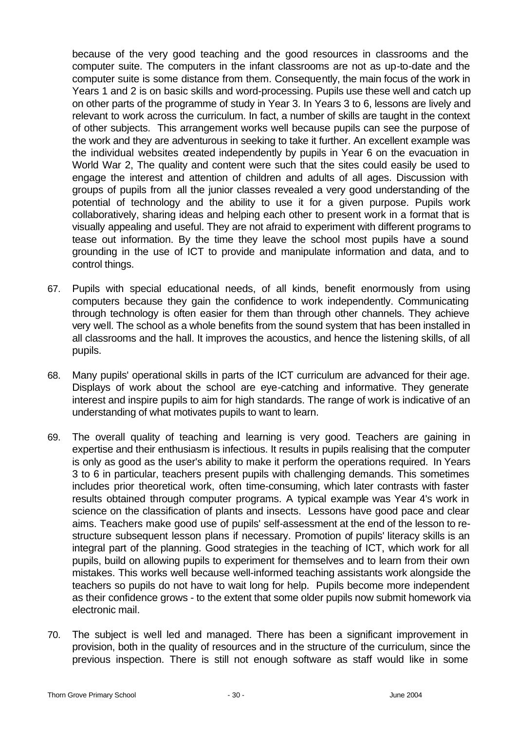because of the very good teaching and the good resources in classrooms and the computer suite. The computers in the infant classrooms are not as up-to-date and the computer suite is some distance from them. Consequently, the main focus of the work in Years 1 and 2 is on basic skills and word-processing. Pupils use these well and catch up on other parts of the programme of study in Year 3. In Years 3 to 6, lessons are lively and relevant to work across the curriculum. In fact, a number of skills are taught in the context of other subjects. This arrangement works well because pupils can see the purpose of the work and they are adventurous in seeking to take it further. An excellent example was the individual websites created independently by pupils in Year 6 on the evacuation in World War 2, The quality and content were such that the sites could easily be used to engage the interest and attention of children and adults of all ages. Discussion with groups of pupils from all the junior classes revealed a very good understanding of the potential of technology and the ability to use it for a given purpose. Pupils work collaboratively, sharing ideas and helping each other to present work in a format that is visually appealing and useful. They are not afraid to experiment with different programs to tease out information. By the time they leave the school most pupils have a sound grounding in the use of ICT to provide and manipulate information and data, and to control things.

- 67. Pupils with special educational needs, of all kinds, benefit enormously from using computers because they gain the confidence to work independently. Communicating through technology is often easier for them than through other channels. They achieve very well. The school as a whole benefits from the sound system that has been installed in all classrooms and the hall. It improves the acoustics, and hence the listening skills, of all pupils.
- 68. Many pupils' operational skills in parts of the ICT curriculum are advanced for their age. Displays of work about the school are eye-catching and informative. They generate interest and inspire pupils to aim for high standards. The range of work is indicative of an understanding of what motivates pupils to want to learn.
- 69. The overall quality of teaching and learning is very good. Teachers are gaining in expertise and their enthusiasm is infectious. It results in pupils realising that the computer is only as good as the user's ability to make it perform the operations required. In Years 3 to 6 in particular, teachers present pupils with challenging demands. This sometimes includes prior theoretical work, often time-consuming, which later contrasts with faster results obtained through computer programs. A typical example was Year 4's work in science on the classification of plants and insects. Lessons have good pace and clear aims. Teachers make good use of pupils' self-assessment at the end of the lesson to restructure subsequent lesson plans if necessary. Promotion of pupils' literacy skills is an integral part of the planning. Good strategies in the teaching of ICT, which work for all pupils, build on allowing pupils to experiment for themselves and to learn from their own mistakes. This works well because well-informed teaching assistants work alongside the teachers so pupils do not have to wait long for help. Pupils become more independent as their confidence grows - to the extent that some older pupils now submit homework via electronic mail.
- 70. The subject is well led and managed. There has been a significant improvement in provision, both in the quality of resources and in the structure of the curriculum, since the previous inspection. There is still not enough software as staff would like in some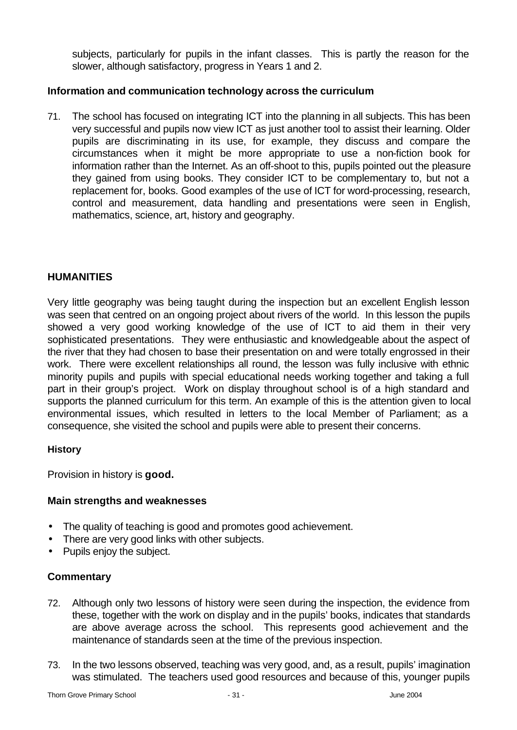subjects, particularly for pupils in the infant classes. This is partly the reason for the slower, although satisfactory, progress in Years 1 and 2.

### **Information and communication technology across the curriculum**

71. The school has focused on integrating ICT into the planning in all subjects. This has been very successful and pupils now view ICT as just another tool to assist their learning. Older pupils are discriminating in its use, for example, they discuss and compare the circumstances when it might be more appropriate to use a non-fiction book for information rather than the Internet. As an off-shoot to this, pupils pointed out the pleasure they gained from using books. They consider ICT to be complementary to, but not a replacement for, books. Good examples of the use of ICT for word-processing, research, control and measurement, data handling and presentations were seen in English, mathematics, science, art, history and geography.

### **HUMANITIES**

Very little geography was being taught during the inspection but an excellent English lesson was seen that centred on an ongoing project about rivers of the world. In this lesson the pupils showed a very good working knowledge of the use of ICT to aid them in their very sophisticated presentations. They were enthusiastic and knowledgeable about the aspect of the river that they had chosen to base their presentation on and were totally engrossed in their work. There were excellent relationships all round, the lesson was fully inclusive with ethnic minority pupils and pupils with special educational needs working together and taking a full part in their group's project. Work on display throughout school is of a high standard and supports the planned curriculum for this term. An example of this is the attention given to local environmental issues, which resulted in letters to the local Member of Parliament; as a consequence, she visited the school and pupils were able to present their concerns.

### **History**

Provision in history is **good.**

### **Main strengths and weaknesses**

- The quality of teaching is good and promotes good achievement.
- There are very good links with other subjects.
- Pupils enjoy the subject.

- 72. Although only two lessons of history were seen during the inspection, the evidence from these, together with the work on display and in the pupils' books, indicates that standards are above average across the school. This represents good achievement and the maintenance of standards seen at the time of the previous inspection.
- 73. In the two lessons observed, teaching was very good, and, as a result, pupils' imagination was stimulated. The teachers used good resources and because of this, younger pupils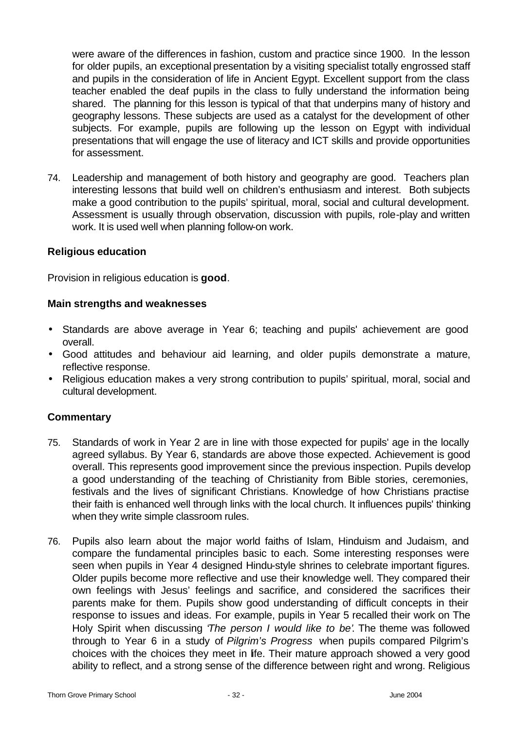were aware of the differences in fashion, custom and practice since 1900. In the lesson for older pupils, an exceptional presentation by a visiting specialist totally engrossed staff and pupils in the consideration of life in Ancient Egypt. Excellent support from the class teacher enabled the deaf pupils in the class to fully understand the information being shared. The planning for this lesson is typical of that that underpins many of history and geography lessons. These subjects are used as a catalyst for the development of other subjects. For example, pupils are following up the lesson on Egypt with individual presentations that will engage the use of literacy and ICT skills and provide opportunities for assessment.

74. Leadership and management of both history and geography are good. Teachers plan interesting lessons that build well on children's enthusiasm and interest. Both subjects make a good contribution to the pupils' spiritual, moral, social and cultural development. Assessment is usually through observation, discussion with pupils, role-play and written work. It is used well when planning follow-on work.

### **Religious education**

Provision in religious education is **good**.

#### **Main strengths and weaknesses**

- Standards are above average in Year 6; teaching and pupils' achievement are good overall.
- Good attitudes and behaviour aid learning, and older pupils demonstrate a mature, reflective response.
- Religious education makes a very strong contribution to pupils' spiritual, moral, social and cultural development.

- 75. Standards of work in Year 2 are in line with those expected for pupils' age in the locally agreed syllabus. By Year 6, standards are above those expected. Achievement is good overall. This represents good improvement since the previous inspection. Pupils develop a good understanding of the teaching of Christianity from Bible stories, ceremonies, festivals and the lives of significant Christians. Knowledge of how Christians practise their faith is enhanced well through links with the local church. It influences pupils' thinking when they write simple classroom rules.
- 76. Pupils also learn about the major world faiths of Islam, Hinduism and Judaism, and compare the fundamental principles basic to each. Some interesting responses were seen when pupils in Year 4 designed Hindu-style shrines to celebrate important figures. Older pupils become more reflective and use their knowledge well. They compared their own feelings with Jesus' feelings and sacrifice, and considered the sacrifices their parents make for them. Pupils show good understanding of difficult concepts in their response to issues and ideas. For example, pupils in Year 5 recalled their work on The Holy Spirit when discussing '*The person I would like to be'*. The theme was followed through to Year 6 in a study of *Pilgrim's Progress* when pupils compared Pilgrim's choices with the choices they meet in life. Their mature approach showed a very good ability to reflect, and a strong sense of the difference between right and wrong. Religious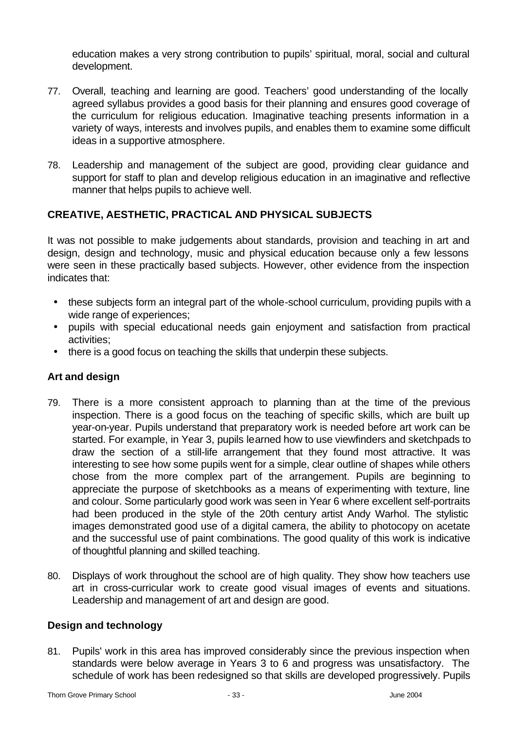education makes a very strong contribution to pupils' spiritual, moral, social and cultural development.

- 77. Overall, teaching and learning are good. Teachers' good understanding of the locally agreed syllabus provides a good basis for their planning and ensures good coverage of the curriculum for religious education. Imaginative teaching presents information in a variety of ways, interests and involves pupils, and enables them to examine some difficult ideas in a supportive atmosphere.
- 78. Leadership and management of the subject are good, providing clear guidance and support for staff to plan and develop religious education in an imaginative and reflective manner that helps pupils to achieve well.

### **CREATIVE, AESTHETIC, PRACTICAL AND PHYSICAL SUBJECTS**

It was not possible to make judgements about standards, provision and teaching in art and design, design and technology, music and physical education because only a few lessons were seen in these practically based subjects. However, other evidence from the inspection indicates that:

- these subjects form an integral part of the whole-school curriculum, providing pupils with a wide range of experiences;
- pupils with special educational needs gain enjoyment and satisfaction from practical activities;
- there is a good focus on teaching the skills that underpin these subjects.

### **Art and design**

- 79. There is a more consistent approach to planning than at the time of the previous inspection. There is a good focus on the teaching of specific skills, which are built up year-on-year. Pupils understand that preparatory work is needed before art work can be started. For example, in Year 3, pupils learned how to use viewfinders and sketchpads to draw the section of a still-life arrangement that they found most attractive. It was interesting to see how some pupils went for a simple, clear outline of shapes while others chose from the more complex part of the arrangement. Pupils are beginning to appreciate the purpose of sketchbooks as a means of experimenting with texture, line and colour. Some particularly good work was seen in Year 6 where excellent self-portraits had been produced in the style of the 20th century artist Andy Warhol. The stylistic images demonstrated good use of a digital camera, the ability to photocopy on acetate and the successful use of paint combinations. The good quality of this work is indicative of thoughtful planning and skilled teaching.
- 80. Displays of work throughout the school are of high quality. They show how teachers use art in cross-curricular work to create good visual images of events and situations. Leadership and management of art and design are good.

### **Design and technology**

81. Pupils' work in this area has improved considerably since the previous inspection when standards were below average in Years 3 to 6 and progress was unsatisfactory. The schedule of work has been redesigned so that skills are developed progressively. Pupils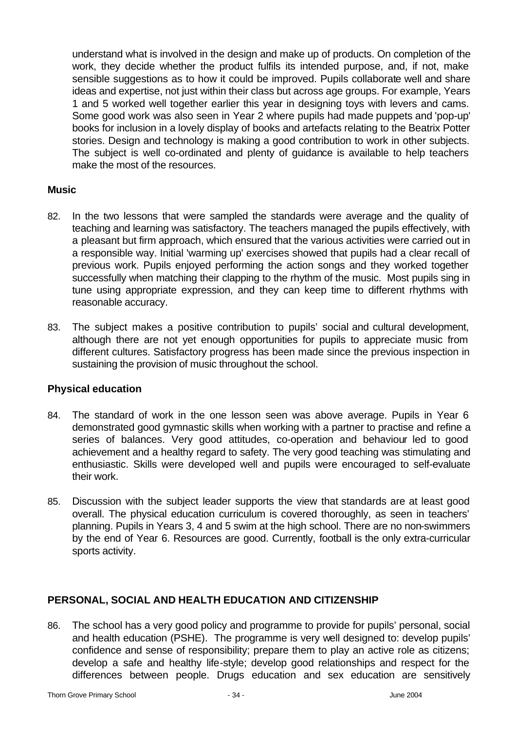understand what is involved in the design and make up of products. On completion of the work, they decide whether the product fulfils its intended purpose, and, if not, make sensible suggestions as to how it could be improved. Pupils collaborate well and share ideas and expertise, not just within their class but across age groups. For example, Years 1 and 5 worked well together earlier this year in designing toys with levers and cams. Some good work was also seen in Year 2 where pupils had made puppets and 'pop-up' books for inclusion in a lovely display of books and artefacts relating to the Beatrix Potter stories. Design and technology is making a good contribution to work in other subjects. The subject is well co-ordinated and plenty of guidance is available to help teachers make the most of the resources.

### **Music**

- 82. In the two lessons that were sampled the standards were average and the quality of teaching and learning was satisfactory. The teachers managed the pupils effectively, with a pleasant but firm approach, which ensured that the various activities were carried out in a responsible way. Initial 'warming up' exercises showed that pupils had a clear recall of previous work. Pupils enjoyed performing the action songs and they worked together successfully when matching their clapping to the rhythm of the music. Most pupils sing in tune using appropriate expression, and they can keep time to different rhythms with reasonable accuracy.
- 83. The subject makes a positive contribution to pupils' social and cultural development, although there are not yet enough opportunities for pupils to appreciate music from different cultures. Satisfactory progress has been made since the previous inspection in sustaining the provision of music throughout the school.

### **Physical education**

- 84. The standard of work in the one lesson seen was above average. Pupils in Year 6 demonstrated good gymnastic skills when working with a partner to practise and refine a series of balances. Very good attitudes, co-operation and behaviour led to good achievement and a healthy regard to safety. The very good teaching was stimulating and enthusiastic. Skills were developed well and pupils were encouraged to self-evaluate their work.
- 85. Discussion with the subject leader supports the view that standards are at least good overall. The physical education curriculum is covered thoroughly, as seen in teachers' planning. Pupils in Years 3, 4 and 5 swim at the high school. There are no non-swimmers by the end of Year 6. Resources are good. Currently, football is the only extra-curricular sports activity.

### **PERSONAL, SOCIAL AND HEALTH EDUCATION AND CITIZENSHIP**

86. The school has a very good policy and programme to provide for pupils' personal, social and health education (PSHE). The programme is very well designed to: develop pupils' confidence and sense of responsibility; prepare them to play an active role as citizens; develop a safe and healthy life-style; develop good relationships and respect for the differences between people. Drugs education and sex education are sensitively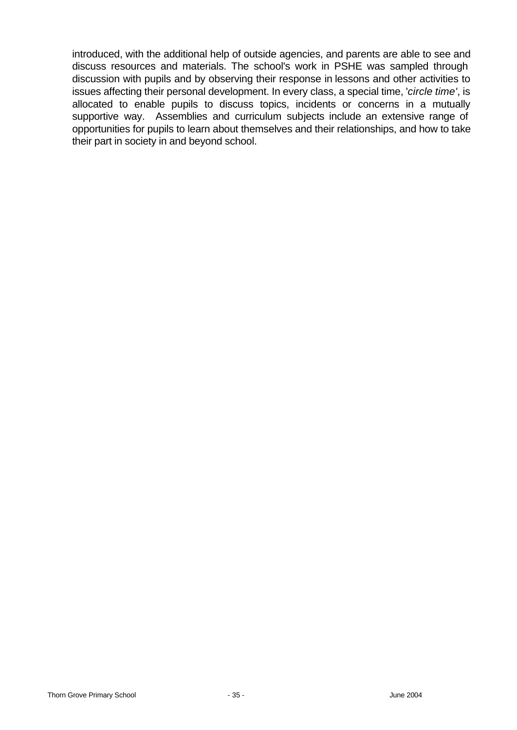introduced, with the additional help of outside agencies, and parents are able to see and discuss resources and materials. The school's work in PSHE was sampled through discussion with pupils and by observing their response in lessons and other activities to issues affecting their personal development. In every class, a special time, '*circle time'*, is allocated to enable pupils to discuss topics, incidents or concerns in a mutually supportive way. Assemblies and curriculum subjects include an extensive range of opportunities for pupils to learn about themselves and their relationships, and how to take their part in society in and beyond school.